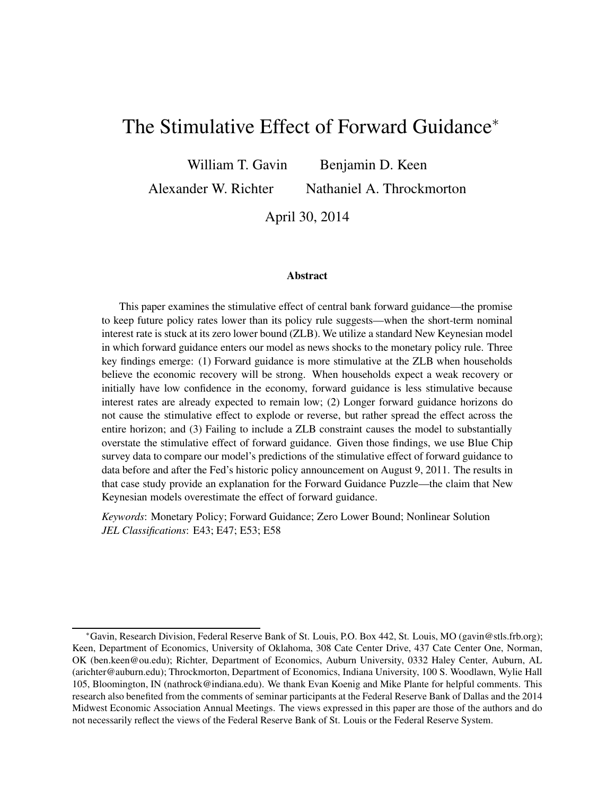# The Stimulative Effect of Forward Guidance<sup>∗</sup>

William T. Gavin Benjamin D. Keen

Alexander W. Richter Nathaniel A. Throckmorton

April 30, 2014

#### **Abstract**

This paper examines the stimulative effect of central bank forward guidance—the promise to keep future policy rates lower than its policy rule suggests—when the short-term nominal interest rate is stuck at its zero lower bound (ZLB). We utilize a standard New Keynesian model in which forward guidance enters our model as news shocks to the monetary policy rule. Three key findings emerge: (1) Forward guidance is more stimulative at the ZLB when households believe the economic recovery will be strong. When households expect a weak recovery or initially have low confidence in the economy, forward guidance is less stimulative because interest rates are already expected to remain low; (2) Longer forward guidance horizons do not cause the stimulative effect to explode or reverse, but rather spread the effect across the entire horizon; and (3) Failing to include a ZLB constraint causes the model to substantially overstate the stimulative effect of forward guidance. Given those findings, we use Blue Chip survey data to compare our model's predictions of the stimulative effect of forward guidance to data before and after the Fed's historic policy announcement on August 9, 2011. The results in that case study provide an explanation for the Forward Guidance Puzzle—the claim that New Keynesian models overestimate the effect of forward guidance.

*Keywords*: Monetary Policy; Forward Guidance; Zero Lower Bound; Nonlinear Solution *JEL Classifications*: E43; E47; E53; E58

<sup>∗</sup>Gavin, Research Division, Federal Reserve Bank of St. Louis, P.O. Box 442, St. Louis, MO (gavin@stls.frb.org); Keen, Department of Economics, University of Oklahoma, 308 Cate Center Drive, 437 Cate Center One, Norman, OK (ben.keen@ou.edu); Richter, Department of Economics, Auburn University, 0332 Haley Center, Auburn, AL (arichter@auburn.edu); Throckmorton, Department of Economics, Indiana University, 100 S. Woodlawn, Wylie Hall 105, Bloomington, IN (nathrock@indiana.edu). We thank Evan Koenig and Mike Plante for helpful comments. This research also benefited from the comments of seminar participants at the Federal Reserve Bank of Dallas and the 2014 Midwest Economic Association Annual Meetings. The views expressed in this paper are those of the authors and do not necessarily reflect the views of the Federal Reserve Bank of St. Louis or the Federal Reserve System.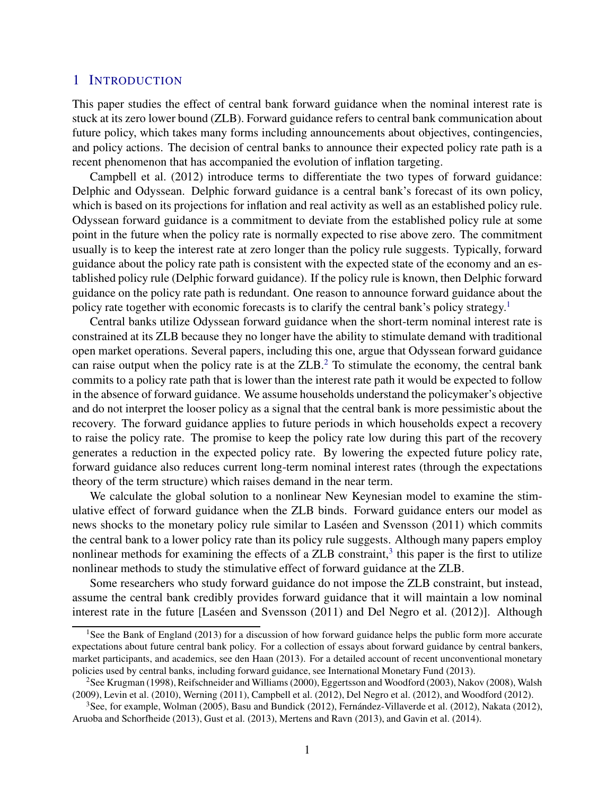## 1 INTRODUCTION

This paper studies the effect of central bank forward guidance when the nominal interest rate is stuck at its zero lower bound (ZLB). Forward guidance refers to central bank communication about future policy, which takes many forms including announcements about objectives, contingencies, and policy actions. The decision of central banks to announce their expected policy rate path is a [recent phenomenon](#page-24-0) that has accompanied the evolution of inflation targeting.

Campbell et al. [\(2012](#page-24-0)) introduce terms to differentiate the two types of forward guidance: Delphic and Odyssean. Delphic forward guidance is a central bank's forecast of its own policy, which is based on its projections for inflation and real activity as well as an established policy rule. Odyssean forward guidance is a commitment to deviate from the established policy rule at some point in the future when the policy rate is normally expected to rise above zero. The commitment usually is to keep the interest rate at zero longer than the policy rule suggests. Typically, forward guidance about the policy rate path is consistent with the expected state of the economy and an established policy rule (Delphic forward guidance). If the policy rule is known, then Delphic forward guidance on the policy rate path is redundant. One reason to announce forward guidance about the policy rate together with economic forecasts is to clarify the central bank's policy strategy.<sup>[1](#page-1-0)</sup>

Central banks utilize Odyssean forward guidance when the short-term nominal interest rate is constrained at its ZLB because they no longer have the ability to stimulate demand with traditional open market operations. Several papers, including this one, argue that Odyssean forward guidance can raise output when the policy rate is at the  $ZLB<sup>2</sup>$  $ZLB<sup>2</sup>$  $ZLB<sup>2</sup>$ . To stimulate the economy, the central bank commits to a policy rate path that is lower than the interest rate path it would be expected to follow in the absence of forward guidance. We assume households understand the policymaker's objective and do not interpret the looser policy as a signal that the central bank is more pessimistic about the recovery. The forward guidance applies to future periods in which households expect a recovery to raise the policy rate. The promise to keep the policy rate low during this part of the recovery generates a reduction in the expected policy rate. By lowering the expected future policy rate, forward guidance also reduces current long-term nominal interest rates (through the expectations theory of the term structure) which raises demand in the near term.

We calculate the global solution to a nonlinear New Keynesian model to examine the stimulative effect of forward guidance when the ZLB binds. Forward guidance enters our model as news shocks to the monetary policy rule similar to Laséen and Svensson (2011) which commits the central bank to a lower policy rate than its policy rule suggests. Although many papers employ nonlinear methods for examining the effects of a  $ZLB$  constraint,<sup>[3](#page-1-2)</sup> this paper is the first to utilize nonlinear methods to study the stimulative effect of forward guidance at the ZLB.

Some researchers who study forward guidance do not impose the ZLB constraint, but instead, assume the central bank credibly provides forward guidance that it will maintain a low nominal interest rate in the future [Laséen and Svensson (2011) and [Del Negro et al. \(2012](#page-24-1))]. Although

<span id="page-1-0"></span><sup>&</sup>lt;sup>1</sup>See the [Bank of England \(2013](#page-24-2)) for a discussion of how forward guidance helps the public form more accurate expectations about future central bank policy. For a collection of essays about forward guidance by central bankers, market participants, and academics, see [den Haan](#page-24-3) [\(2013\)](#page-24-3). For a detailed account of recent unconventional monetary policies used by central banks, including forward guidance, see [International Monetary Fund](#page-25-1) [\(2013\)](#page-25-1).

<span id="page-1-1"></span><sup>&</sup>lt;sup>2</sup>See [Krugman \(1998](#page-25-2)), [Reifschneider and Williams \(2000](#page-26-0)), [Eggertsson and Woodford \(2003](#page-24-4)), [Nakov](#page-26-1) [\(2008\)](#page-26-1), [Walsh](#page-26-2) [\(2009\)](#page-26-2), [Levin et al. \(2010](#page-25-3)), [Werning \(2011\)](#page-26-3), [Campbell et al.](#page-24-0) [\(2012](#page-24-0)), [Del Negro et al. \(2012\)](#page-24-1), and [Woodford](#page-26-4) [\(2012\)](#page-26-4).

<span id="page-1-2"></span><sup>&</sup>lt;sup>3</sup>See, for example, [Wolman](#page-26-5) [\(2005\)](#page-26-5), [Basu and Bundick \(2012\)](#page-24-5), Fernández-Villaverde et al. [\(2012\)](#page-25-4), [Nakata \(2012](#page-25-5)), [Aruoba and Schorfheide \(2013](#page-24-6)), [Gust et al. \(2013](#page-25-6)), [Mertens and Ravn \(2013](#page-25-7)), and [Gavin et al.](#page-25-8) [\(2014\)](#page-25-8).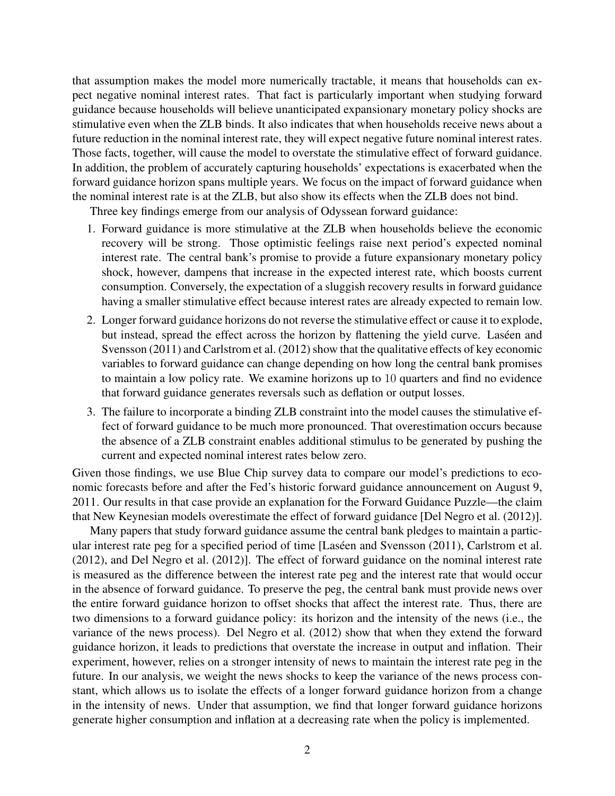that assumption makes the model more numerically tractable, it means that households can expect negative nominal interest rates. That fact is particularly important when studying forward guidance because households will believe unanticipated expansionary monetary policy shocks are stimulative even when the ZLB binds. It also indicates that when households receive news about a future reduction in the nominal interest rate, they will expect negative future nominal interest rates. Those facts, together, will cause the model to overstate the stimulative effect of forward guidance. In addition, the problem of accurately capturing households' expectations is exacerbated when the forward guidance horizon spans multiple years. We focus on the impact of forward guidance when the nominal interest rate is at the ZLB, but also show its effects when the ZLB does not bind.

Three key findings emerge from our analysis of Odyssean forward guidance:

- 1. Forward guidance is more stimulative at the ZLB when households believe the economic recovery will be strong. Those optimistic feelings raise next period's expected nominal interest rate. The central bank's promise to provide a future expansionary monetary policy shock, however, dampens that increase in the expected interest rate, which boosts current consumption. Conversely, the expectation of a sluggish recovery results in forward guidance having a smaller stimulative effect because interest rates are already expected to remain low.
- 2. Longer forward guidance horizons do not reverse the stimulative effect or cause it to explode, but inste[ad, spread the effect across the horizon by flattening the yield curve.](#page-25-0) Laséen and Svensson [\(2011\)](#page-25-0) and [Carlstrom et al. \(2012](#page-24-7)) show that the qualitative effects of key economic variables to forward guidance can change depending on how long the central bank promises to maintain a low policy rate. We examine horizons up to 10 quarters and find no evidence that forward guidance generates reversals such as deflation or output losses.
- 3. The failure to incorporate a binding ZLB constraint into the model causes the stimulative effect of forward guidance to be much more pronounced. That overestimation occurs because the absence of a ZLB constraint enables additional stimulus to be generated by pushing the current and expected nominal interest rates below zero.

Given those findings, we use Blue Chip survey data to compare our model's predictions to economic forecasts before and after the Fed's historic forward guidance announcement on August 9, 2011. Our results in that case provide an explanation for the Forward Guidance Puzzle—the claim that New Keynesian models overestimate the effect of forward guidance [\[Del Negro et al. \(2012](#page-24-1))].

Many papers that study forward guidance assume the central bank pledges to maintain a particular interest rate peg for a specified period of time [Laséen [and Svensson \(2011](#page-25-0)), [Carlstrom et al.](#page-24-7) [\(2012\)](#page-24-7), and [Del Negro et al. \(2012](#page-24-1))]. The effect of forward guidance on the nominal interest rate is measured as the difference between the interest rate peg and the interest rate that would occur in the absence of forward guidance. To preserve the peg, the central bank must provide news over the entire forward guidance horizon to offset shocks that affect the interest rate. Thus, there are two dimensions to a forward guidance policy: its horizon and the intensity of the news (i.e., the variance of the news process). [Del Negro et al. \(2012](#page-24-1)) show that when they extend the forward guidance horizon, it leads to predictions that overstate the increase in output and inflation. Their experiment, however, relies on a stronger intensity of news to maintain the interest rate peg in the future. In our analysis, we weight the news shocks to keep the variance of the news process constant, which allows us to isolate the effects of a longer forward guidance horizon from a change in the intensity of news. Under that assumption, we find that longer forward guidance horizons generate higher consumption and inflation at a decreasing rate when the policy is implemented.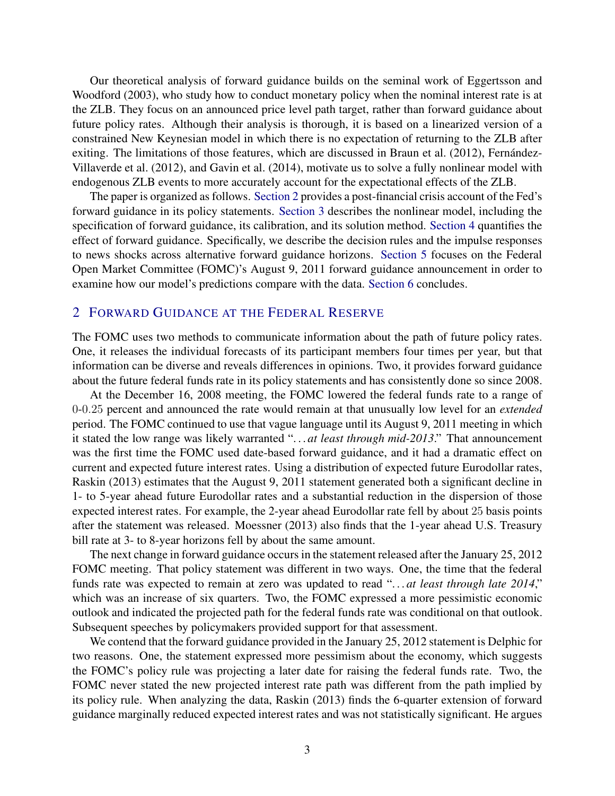Our t[heoretical analysis of forward guidance builds on the seminal work of](#page-24-4) Eggertsson and Woodford [\(2003](#page-24-4)), who study how to conduct monetary policy when the nominal interest rate is at the ZLB. They focus on an announced price level path target, rather than forward guidance about future policy rates. Although their analysis is thorough, it is based on a linearized version of a constrained New Keynesian model in which there is no expectation of returning to the ZLB after exiting. The li[mitations of those features, which are discussed in](#page-25-4) [Braun et al.](#page-24-8)[\(2012](#page-24-8)[\),](#page-25-4) Fernández-Villaverde et al. [\(2012\)](#page-25-4), and [Gavin et al. \(2014](#page-25-8)), motivate us to solve a fully nonlinear model with endogenous ZLB events to more accurately account for the expectational effects of the ZLB.

The paper is organized as follows. [Section 2](#page-3-0) provides a post-financial crisis account of the Fed's forward guidance in its policy statements. [Section 3](#page-5-0) describes the nonlinear model, including the specification of forward guidance, its calibration, and its solution method. [Section 4](#page-7-0) quantifies the effect of forward guidance. Specifically, we describe the decision rules and the impulse responses to news shocks across alternative forward guidance horizons. [Section 5](#page-21-0) focuses on the Federal Open Market Committee (FOMC)'s August 9, 2011 forward guidance announcement in order to examine how our model's predictions compare with the data. [Section 6](#page-23-0) concludes.

## <span id="page-3-0"></span>2 FORWARD GUIDANCE AT THE FEDERAL RESERVE

The FOMC uses two methods to communicate information about the path of future policy rates. One, it releases the individual forecasts of its participant members four times per year, but that information can be diverse and reveals differences in opinions. Two, it provides forward guidance about the future federal funds rate in its policy statements and has consistently done so since 2008.

At the December 16, 2008 meeting, the FOMC lowered the federal funds rate to a range of 0-0.25 percent and announced the rate would remain at that unusually low level for an *extended* period. The FOMC continued to use that vague language until its August 9, 2011 meeting in which it stated the low range was likely warranted ". . . *at least through mid-2013*." That announcement was the first time the FOMC used date-based forward guidance, and it had a dramatic effect on current and expected future interest rates. Using a distribution of expected future Eurodollar rates, [Raskin \(2013](#page-26-6)) estimates that the August 9, 2011 statement generated both a significant decline in 1- to 5-year ahead future Eurodollar rates and a substantial reduction in the dispersion of those expected interest rates. For example, the 2-year ahead Eurodollar rate fell by about 25 basis points after the statement was released. [Moessner](#page-25-9) [\(2013\)](#page-25-9) also finds that the 1-year ahead U.S. Treasury bill rate at 3- to 8-year horizons fell by about the same amount.

The next change in forward guidance occurs in the statement released after the January 25, 2012 FOMC meeting. That policy statement was different in two ways. One, the time that the federal funds rate was expected to remain at zero was updated to read "...at least through late 2014," which was an increase of six quarters. Two, the FOMC expressed a more pessimistic economic outlook and indicated the projected path for the federal funds rate was conditional on that outlook. Subsequent speeches by policymakers provided support for that assessment.

We contend that the forward guidance provided in the January 25, 2012 statement is Delphic for two reasons. One, the statement expressed more pessimism about the economy, which suggests the FOMC's policy rule was projecting a later date for raising the federal funds rate. Two, the FOMC never stated the new projected interest rate path was different from the path implied by its policy rule. When analyzing the data, [Raskin \(2013](#page-26-6)) finds the 6-quarter extension of forward guidance marginally reduced expected interest rates and was not statistically significant. He argues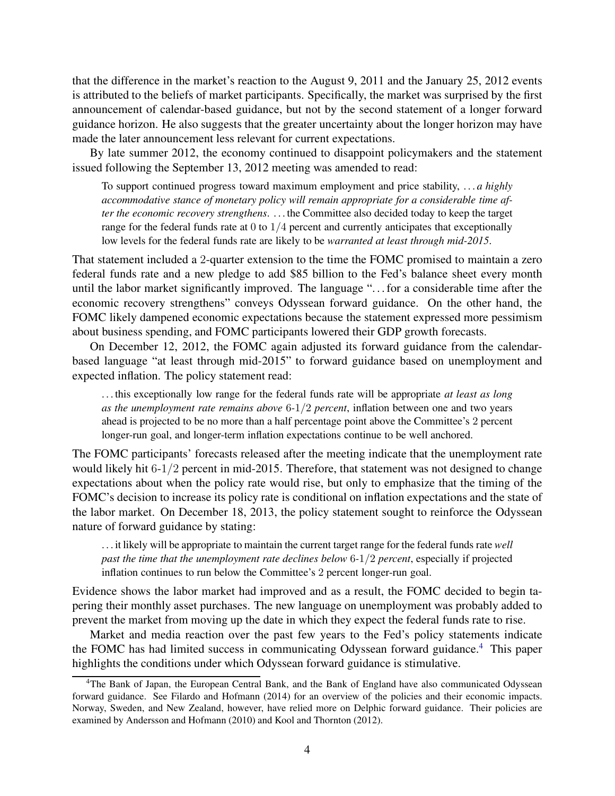that the difference in the market's reaction to the August 9, 2011 and the January 25, 2012 events is attributed to the beliefs of market participants. Specifically, the market was surprised by the first announcement of calendar-based guidance, but not by the second statement of a longer forward guidance horizon. He also suggests that the greater uncertainty about the longer horizon may have made the later announcement less relevant for current expectations.

By late summer 2012, the economy continued to disappoint policymakers and the statement issued following the September 13, 2012 meeting was amended to read:

To support continued progress toward maximum employment and price stability, . . . *a highly accommodative stance of monetary policy will remain appropriate for a considerable time after the economic recovery strengthens*. . . . the Committee also decided today to keep the target range for the federal funds rate at  $0$  to  $1/4$  percent and currently anticipates that exceptionally low levels for the federal funds rate are likely to be *warranted at least through mid-2015*.

That statement included a 2-quarter extension to the time the FOMC promised to maintain a zero federal funds rate and a new pledge to add \$85 billion to the Fed's balance sheet every month until the labor market significantly improved. The language ". . . for a considerable time after the economic recovery strengthens" conveys Odyssean forward guidance. On the other hand, the FOMC likely dampened economic expectations because the statement expressed more pessimism about business spending, and FOMC participants lowered their GDP growth forecasts.

On December 12, 2012, the FOMC again adjusted its forward guidance from the calendarbased language "at least through mid-2015" to forward guidance based on unemployment and expected inflation. The policy statement read:

. . . this exceptionally low range for the federal funds rate will be appropriate *at least as long as the unemployment rate remains above* 6*-*1/2 *percent*, inflation between one and two years ahead is projected to be no more than a half percentage point above the Committee's 2 percent longer-run goal, and longer-term inflation expectations continue to be well anchored.

The FOMC participants' forecasts released after the meeting indicate that the unemployment rate would likely hit 6-1/2 percent in mid-2015. Therefore, that statement was not designed to change expectations about when the policy rate would rise, but only to emphasize that the timing of the FOMC's decision to increase its policy rate is conditional on inflation expectations and the state of the labor market. On December 18, 2013, the policy statement sought to reinforce the Odyssean nature of forward guidance by stating:

. . . it likely will be appropriate to maintain the current target range for the federal funds rate *well past the time that the unemployment rate declines below* 6*-*1/2 *percent*, especially if projected inflation continues to run below the Committee's 2 percent longer-run goal.

Evidence shows the labor market had improved and as a result, the FOMC decided to begin tapering their monthly asset purchases. The new language on unemployment was probably added to prevent the market from moving up the date in which they expect the federal funds rate to rise.

Market and media reaction over the past few years to the Fed's policy statements indicate the FOMC has had limited success in communicating Odyssean forward guidance.<sup>[4](#page-4-0)</sup> This paper highlights the conditions under which Odyssean forward guidance is stimulative.

<span id="page-4-0"></span><sup>4</sup>The Bank of Japan, the European Central Bank, and the Bank of England have also communicated Odyssean forward guidance. See [Filardo and Hofmann](#page-25-10) [\(2014\)](#page-25-10) for an overview of the policies and their economic impacts. Norway, Sweden, and New Zealand, however, have relied more on Delphic forward guidance. Their policies are examined by [Andersson and Hofmann \(2010](#page-24-9)) and [Kool and Thornton \(2012\)](#page-25-11).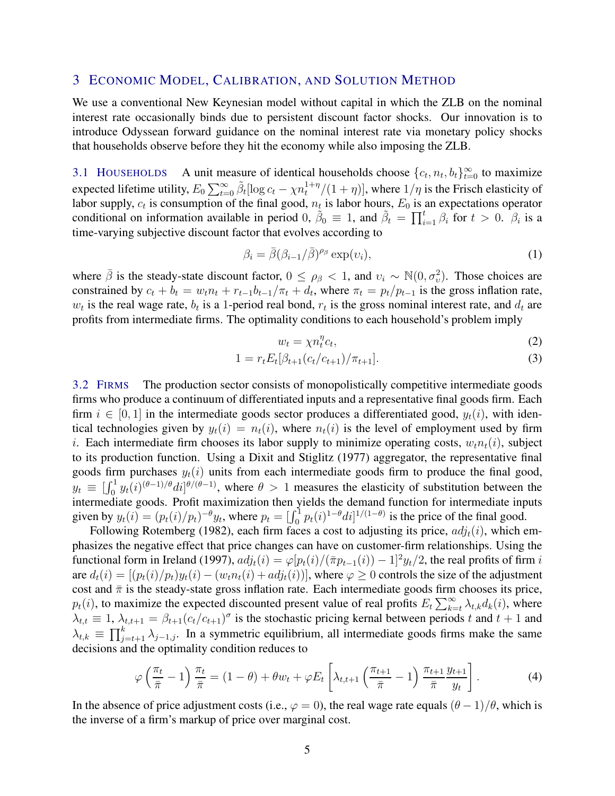## <span id="page-5-0"></span>3 ECONOMIC MODEL, CALIBRATION, AND SOLUTION METHOD

We use a conventional New Keynesian model without capital in which the ZLB on the nominal interest rate occasionally binds due to persistent discount factor shocks. Our innovation is to introduce Odyssean forward guidance on the nominal interest rate via monetary policy shocks that households observe before they hit the economy while also imposing the ZLB.

3.1 HOUSEHOLDS A unit measure of identical households choose  $\{c_t, n_t, b_t\}_{t=0}^{\infty}$  to maximize expected lifetime utility,  $E_0 \sum_{t=0}^{\infty} \tilde{\beta}_t [\log c_t - \chi n_t^{1+\eta}/(1+\eta)]$ , where  $1/\eta$  is the Frisch elasticity of labor supply,  $c_t$  is consumption of the final good,  $n_t$  is labor hours,  $E_0$  is an expectations operator conditional on information available in period 0,  $\tilde{\beta}_0 \equiv 1$ , and  $\tilde{\beta}_t = \prod_{i=1}^t \beta_i$  for  $t > 0$ .  $\beta_i$  is a time-varying subjective discount factor that evolves according to

<span id="page-5-1"></span>
$$
\beta_i = \bar{\beta} (\beta_{i-1}/\bar{\beta})^{\rho_\beta} \exp(v_i), \tag{1}
$$

where  $\bar{\beta}$  is the steady-state discount factor,  $0 \leq \rho_{\beta} < 1$ , and  $v_i \sim \mathbb{N}(0, \sigma_v^2)$ . Those choices are constrained by  $c_t + b_t = w_t n_t + r_{t-1} b_{t-1}/\pi_t + d_t$ , where  $\pi_t = p_t/p_{t-1}$  is the gross inflation rate,  $w_t$  is the real wage rate,  $b_t$  is a 1-period real bond,  $r_t$  is the gross nominal interest rate, and  $d_t$  are profits from intermediate firms. The optimality conditions to each household's problem imply

<span id="page-5-2"></span>
$$
w_t = \chi n_t^{\eta} c_t,\tag{2}
$$

$$
1 = r_t E_t[\beta_{t+1}(c_t/c_{t+1})/\pi_{t+1}].
$$
\n(3)

3.2 FIRMS The production sector consists of monopolistically competitive intermediate goods firms who produce a continuum of differentiated inputs and a representative final goods firm. Each firm  $i \in [0, 1]$  in the intermediate goods sector produces a differentiated good,  $y_t(i)$ , with identical technologies given by  $y_t(i) = n_t(i)$ , where  $n_t(i)$  is the level of employment used by firm i. Each intermediate firm chooses its labor supply to minimize operating costs,  $w_t n_t(i)$ , subject to its production function. Using a [Dixit and Stiglitz \(1977](#page-24-10)) aggregator, the representative final goods firm purchases  $y_t(i)$  units from each intermediate goods firm to produce the final good,  $y_t \equiv \left[\int_0^1 y_t(i)^{(\theta-1)/\theta} di\right]^{(\theta/(\theta-1)})$ , where  $\theta > 1$  measures the elasticity of substitution between the intermediate goods. Profit maximization then yields the demand function for intermediate inputs given by  $y_t(i) = (p_t(i)/p_t)^{-\theta} y_t$ , where  $p_t = \left[\int_0^1 p_t(i)^{1-\theta} di\right]^{1/(1-\theta)}$  is the price of the final good.

Following [Rotemberg](#page-26-7) [\(1982\)](#page-26-7), each firm faces a cost to adjusting its price,  $adj_t(i)$ , which emphasizes the negative effect that price changes can have on customer-firm relationships. Using the functional form in [Ireland](#page-25-12) [\(1997\)](#page-25-12),  $adj_t(i) = \varphi[p_t(i)/(\bar{\pi}p_{t-1}(i))-1]^2 y_t/2$ , the real profits of firm i are  $d_t(i) = [(p_t(i)/p_t)y_t(i) - (w_t n_t(i) + adj_t(i))]$ , where  $\varphi \ge 0$  controls the size of the adjustment cost and  $\bar{\pi}$  is the steady-state gross inflation rate. Each intermediate goods firm chooses its price,  $p_t(i)$ , to maximize the expected discounted present value of real profits  $E_t \sum_{k=t}^{\infty} \lambda_{t,k} d_k(i)$ , where  $\lambda_{t,t} \equiv 1$ ,  $\lambda_{t,t+1} = \beta_{t+1} (c_t/c_{t+1})^{\sigma}$  is the stochastic pricing kernal between periods t and  $t+1$  and  $\lambda_{t,k} \equiv \prod_{j=t+1}^{k} \lambda_{j-1,j}$ . In a symmetric equilibrium, all intermediate goods firms make the same decisions and the optimality condition reduces to

<span id="page-5-3"></span>
$$
\varphi\left(\frac{\pi_t}{\bar{\pi}}-1\right)\frac{\pi_t}{\bar{\pi}}=(1-\theta)+\theta w_t+\varphi E_t\left[\lambda_{t,t+1}\left(\frac{\pi_{t+1}}{\bar{\pi}}-1\right)\frac{\pi_{t+1}}{\bar{\pi}}\frac{y_{t+1}}{y_t}\right].
$$
\n(4)

In the absence of price adjustment costs (i.e.,  $\varphi = 0$ ), the real wage rate equals  $(\theta - 1)/\theta$ , which is the inverse of a firm's markup of price over marginal cost.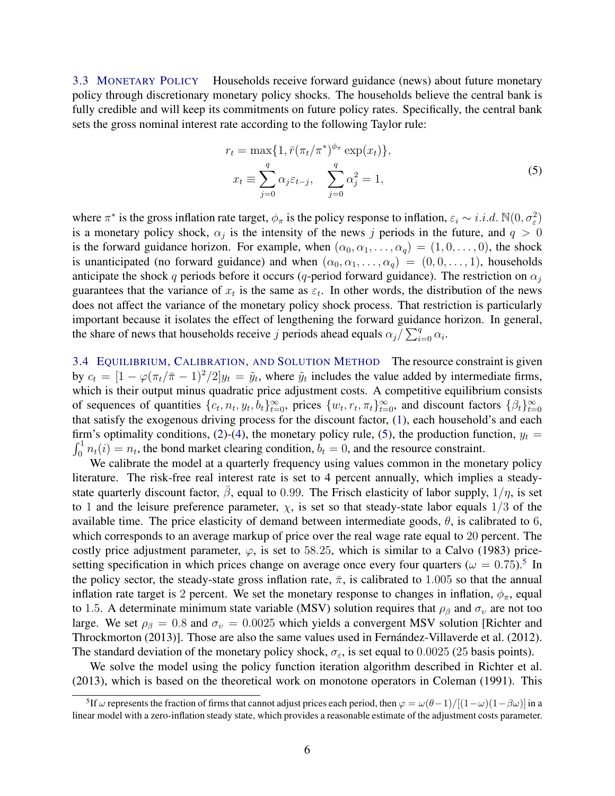3.3 MONETARY POLICY Households receive forward guidance (news) about future monetary policy through discretionary monetary policy shocks. The households believe the central bank is fully credible and will keep its commitments on future policy rates. Specifically, the central bank sets the gross nominal interest rate according to the following Taylor rule:

<span id="page-6-0"></span>
$$
r_t = \max\{1, \bar{r}(\pi_t/\pi^*)^{\phi_{\pi}} \exp(x_t)\},
$$
  

$$
x_t \equiv \sum_{j=0}^q \alpha_j \varepsilon_{t-j}, \quad \sum_{j=0}^q \alpha_j^2 = 1,
$$
 (5)

where  $\pi^*$  is the gross inflation rate target,  $\phi_{\pi}$  is the policy response to inflation,  $\varepsilon_i \sim i.i.d. \ N(0, \sigma_{\varepsilon}^2)$ is a monetary policy shock,  $\alpha_j$  is the intensity of the news j periods in the future, and  $q > 0$ is the forward guidance horizon. For example, when  $(\alpha_0, \alpha_1, \ldots, \alpha_q) = (1, 0, \ldots, 0)$ , the shock is unanticipated (no forward guidance) and when  $(\alpha_0, \alpha_1, \dots, \alpha_q) = (0, 0, \dots, 1)$ , households anticipate the shock q periods before it occurs (q-period forward guidance). The restriction on  $\alpha_i$ guarantees that the variance of  $x_t$  is the same as  $\varepsilon_t$ . In other words, the distribution of the news does not affect the variance of the monetary policy shock process. That restriction is particularly important because it isolates the effect of lengthening the forward guidance horizon. In general, the share of news that households receive j periods ahead equals  $\alpha_j / \sum_{i=0}^q \alpha_i$ .

3.4 EQUILIBRIUM, CALIBRATION, AND SOLUTION METHOD The resource constraint is given by  $c_t = [1 - \varphi(\pi_t/\bar{\pi} - 1)^2/2]y_t = \tilde{y}_t$ , where  $\tilde{y}_t$  includes the value added by intermediate firms, which is their output minus quadratic price adjustment costs. A competitive equilibrium consists of sequences of quantities  $\{c_t, n_t, y_t, b_t\}_{t=0}^{\infty}$ , prices  $\{w_t, r_t, \pi_t\}_{t=0}^{\infty}$ , and discount factors  $\{\beta_t\}_{t=0}^{\infty}$  $_{t=0}$ that satisfy the exogenous driving process for the discount factor, [\(1\)](#page-5-1), each household's and each firm's optimality conditions, [\(2\)](#page-5-2)-[\(4\)](#page-5-3), the monetary policy rule, [\(5\)](#page-6-0), the production function,  $y_t =$  $\int_0^1 n_t(i) = n_t$ , the bond market clearing condition,  $b_t = 0$ , and the resource constraint.

We calibrate the model at a quarterly frequency using values common in the monetary policy literature. The risk-free real interest rate is set to 4 percent annually, which implies a steadystate quarterly discount factor,  $\bar{\beta}$ , equal to 0.99. The Frisch elasticity of labor supply,  $1/\eta$ , is set to 1 and the leisure preference parameter,  $\chi$ , is set so that steady-state labor equals  $1/3$  of the available time. The price elasticity of demand between intermediate goods,  $\theta$ , is calibrated to 6, which corresponds to an average markup of price over the real wage rate equal to 20 percent. The costly price adjustment parameter,  $\varphi$ , is set to 58.25, which is similar to a [Calvo \(1983](#page-24-11)) pricesetting specification in which prices change on average once every four quarters ( $\omega = 0.75$  $\omega = 0.75$ ).<sup>5</sup> In the policy sector, the steady-state gross inflation rate,  $\bar{\pi}$ , is calibrated to 1.005 so that the annual inflation rate target is 2 percent. We set the monetary response to changes in inflation,  $\phi_{\pi}$ , equal to 1.5. A determinate minimum state variable (MSV) solution requires that  $\rho_\beta$  and  $\sigma_v$  are not too large. We set  $\rho_{\beta} = 0.8$  and  $\sigma_v = 0.0025$  [which yields a convergent MSV solution \[](#page-26-8)Richter and Throckmorton [\(2013\)](#page-26-8)]. Those are also the same values used in Fernández-Villaverde et al. (2012). The standard deviation of the monetary policy shock,  $\sigma_{\varepsilon}$ , is set equal to 0.0025 (25 basis points).

We solve the model using the policy function iteration algorithm described in [Richter et al.](#page-26-9) [\(2013\)](#page-26-9), which is based on the theoretical work on monotone operators in Coleman [\(1991\)](#page-24-12). This

<span id="page-6-1"></span><sup>&</sup>lt;sup>5</sup>If  $\omega$  represents the fraction of firms that cannot adjust prices each period, then  $\varphi = \omega(\theta-1)/[(1-\omega)(1-\beta\omega)]$  in a linear model with a zero-inflation steady state, which provides a reasonable estimate of the adjustment costs parameter.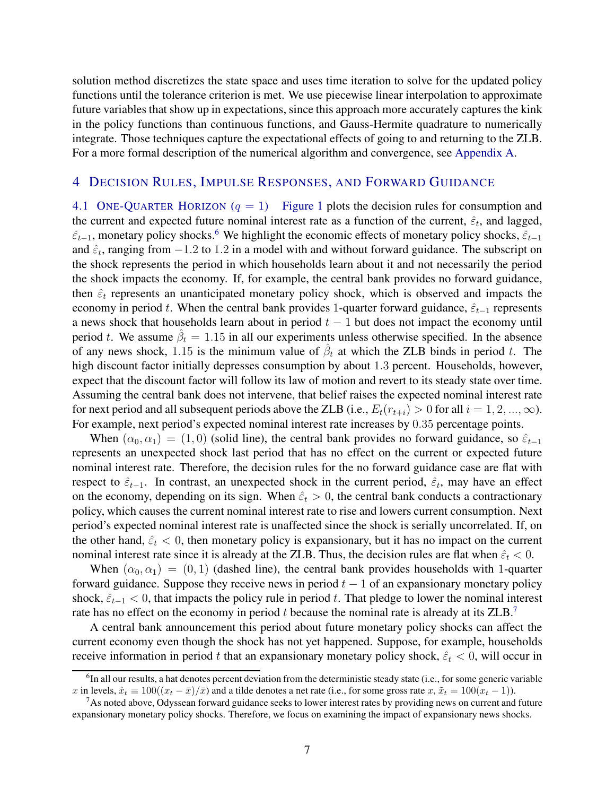solution method discretizes the state space and uses time iteration to solve for the updated policy functions until the tolerance criterion is met. We use piecewise linear interpolation to approximate future variables that show up in expectations, since this approach more accurately captures the kink in the policy functions than continuous functions, and Gauss-Hermite quadrature to numerically integrate. Those techniques capture the expectational effects of going to and returning to the ZLB. For a more formal description of the numerical algorithm and convergence, see [Appendix A.](#page-27-0)

## <span id="page-7-3"></span><span id="page-7-0"></span>4 DECISION RULES, IMPULSE RESPONSES, AND FORWARD GUIDANCE

4.1 ONE-QUARTER HORIZON  $(q = 1)$  [Figure 1](#page-8-0) plots the decision rules for consumption and the current and expected future nominal interest rate as a function of the current,  $\hat{\varepsilon}_t$ , and lagged,  $\hat{\varepsilon}_{t-1}$ , monetary policy shocks.<sup>[6](#page-7-1)</sup> We highlight the economic effects of monetary policy shocks,  $\hat{\varepsilon}_{t-1}$ and  $\hat{\varepsilon}_t$ , ranging from  $-1.2$  to 1.2 in a model with and without forward guidance. The subscript on the shock represents the period in which households learn about it and not necessarily the period the shock impacts the economy. If, for example, the central bank provides no forward guidance, then  $\hat{\epsilon}_t$  represents an unanticipated monetary policy shock, which is observed and impacts the economy in period t. When the central bank provides 1-quarter forward guidance,  $\hat{\varepsilon}_{t-1}$  represents a news shock that households learn about in period  $t - 1$  but does not impact the economy until period t. We assume  $\hat{\beta}_t = 1.15$  in all our experiments unless otherwise specified. In the absence of any news shock, 1.15 is the minimum value of  $\hat{\beta}_t$  at which the ZLB binds in period t. The high discount factor initially depresses consumption by about 1.3 percent. Households, however, expect that the discount factor will follow its law of motion and revert to its steady state over time. Assuming the central bank does not intervene, that belief raises the expected nominal interest rate for next period and all subsequent periods above the ZLB (i.e.,  $E_t(r_{t+i}) > 0$  for all  $i = 1, 2, ..., \infty$ ). For example, next period's expected nominal interest rate increases by 0.35 percentage points.

When  $(\alpha_0, \alpha_1) = (1, 0)$  (solid line), the central bank provides no forward guidance, so  $\hat{\epsilon}_{t-1}$ represents an unexpected shock last period that has no effect on the current or expected future nominal interest rate. Therefore, the decision rules for the no forward guidance case are flat with respect to  $\hat{\varepsilon}_{t-1}$ . In contrast, an unexpected shock in the current period,  $\hat{\varepsilon}_t$ , may have an effect on the economy, depending on its sign. When  $\hat{\varepsilon}_t > 0$ , the central bank conducts a contractionary policy, which causes the current nominal interest rate to rise and lowers current consumption. Next period's expected nominal interest rate is unaffected since the shock is serially uncorrelated. If, on the other hand,  $\hat{\varepsilon}_t$  < 0, then monetary policy is expansionary, but it has no impact on the current nominal interest rate since it is already at the ZLB. Thus, the decision rules are flat when  $\hat{\epsilon}_t < 0$ .

When  $(\alpha_0, \alpha_1) = (0, 1)$  (dashed line), the central bank provides households with 1-quarter forward guidance. Suppose they receive news in period  $t - 1$  of an expansionary monetary policy shock,  $\hat{\epsilon}_{t-1}$  < 0, that impacts the policy rule in period t. That pledge to lower the nominal interest rate has no effect on the economy in period t because the nominal rate is already at its  $ZLB$ .<sup>[7](#page-7-2)</sup>

A central bank announcement this period about future monetary policy shocks can affect the current economy even though the shock has not yet happened. Suppose, for example, households receive information in period t that an expansionary monetary policy shock,  $\hat{\varepsilon}_t < 0$ , will occur in

<span id="page-7-1"></span> ${}^{6}$ In all our results, a hat denotes percent deviation from the deterministic steady state (i.e., for some generic variable x in levels,  $\hat{x}_t \equiv 100((x_t - \bar{x})/\bar{x})$  and a tilde denotes a net rate (i.e., for some gross rate  $x, \tilde{x}_t = 100(x_t - 1)$ ).

<span id="page-7-2"></span><sup>&</sup>lt;sup>7</sup>As noted above, Odyssean forward guidance seeks to lower interest rates by providing news on current and future expansionary monetary policy shocks. Therefore, we focus on examining the impact of expansionary news shocks.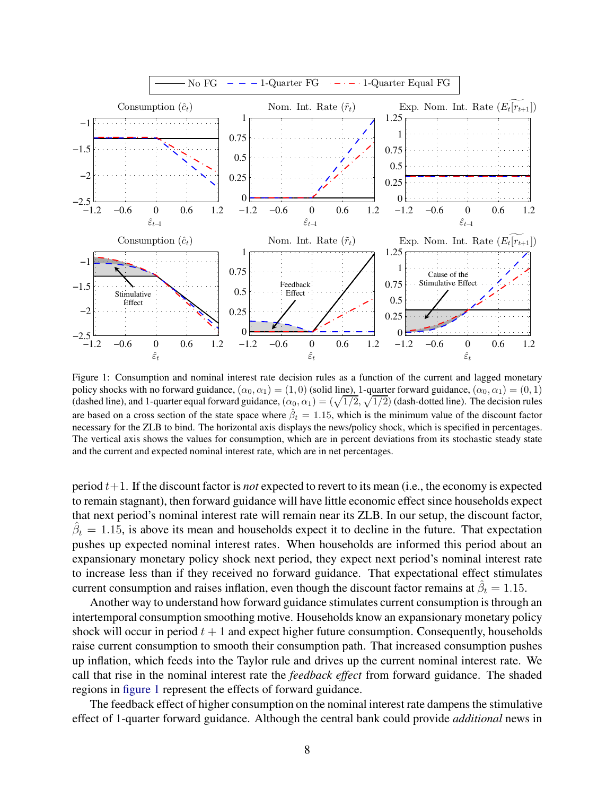<span id="page-8-0"></span>

Figure 1: Consumption and nominal interest rate decision rules as a function of the current and lagged monetary policy shocks with no forward guidance,  $(\alpha_0, \alpha_1) = (1, 0)$  (solid line), 1-quarter forward guidance,  $(\alpha_0, \alpha_1) = (0, 1)$ (dashed line), and 1-quarter equal forward guidance,  $(\alpha_0, \alpha_1) = (\sqrt{1/2}, \sqrt{1/2})$  (dash-dotted line). The decision rules are based on a cross section of the state space where  $\hat{\beta}_t = 1.15$ , which is the minimum value of the discount factor necessary for the ZLB to bind. The horizontal axis displays the news/policy shock, which is specified in percentages. The vertical axis shows the values for consumption, which are in percent deviations from its stochastic steady state and the current and expected nominal interest rate, which are in net percentages.

period  $t+1$ . If the discount factor is *not* expected to revert to its mean (i.e., the economy is expected to remain stagnant), then forward guidance will have little economic effect since households expect that next period's nominal interest rate will remain near its ZLB. In our setup, the discount factor,  $\hat{\beta}_t = 1.15$ , is above its mean and households expect it to decline in the future. That expectation pushes up expected nominal interest rates. When households are informed this period about an expansionary monetary policy shock next period, they expect next period's nominal interest rate to increase less than if they received no forward guidance. That expectational effect stimulates current consumption and raises inflation, even though the discount factor remains at  $\hat{\beta}_t = 1.15$ .

Another way to understand how forward guidance stimulates current consumption is through an intertemporal consumption smoothing motive. Households know an expansionary monetary policy shock will occur in period  $t + 1$  and expect higher future consumption. Consequently, households raise current consumption to smooth their consumption path. That increased consumption pushes up inflation, which feeds into the Taylor rule and drives up the current nominal interest rate. We call that rise in the nominal interest rate the *feedback effect* from forward guidance. The shaded regions in [figure 1](#page-8-0) represent the effects of forward guidance.

The feedback effect of higher consumption on the nominal interest rate dampens the stimulative effect of 1-quarter forward guidance. Although the central bank could provide *additional* news in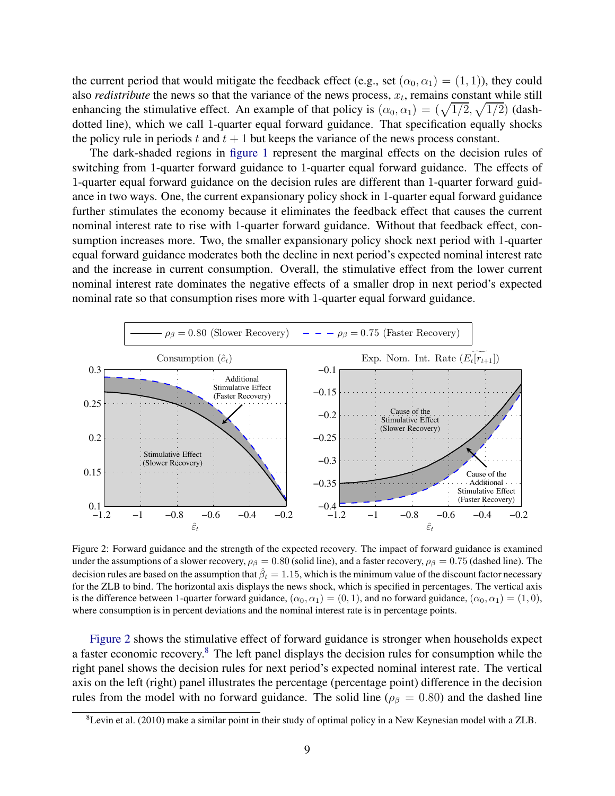the current period that would mitigate the feedback effect (e.g., set  $(\alpha_0, \alpha_1) = (1, 1)$ ), they could also *redistribute* the news so that the variance of the news process,  $x_t$ , remains constant while still enhancing the stimulative effect. An example of that policy is  $(\alpha_0, \alpha_1) = (\sqrt{1/2}, \sqrt{1/2})$  (dashdotted line), which we call 1-quarter equal forward guidance. That specification equally shocks the policy rule in periods t and  $t + 1$  but keeps the variance of the news process constant.

The dark-shaded regions in [figure 1](#page-8-0) represent the marginal effects on the decision rules of switching from 1-quarter forward guidance to 1-quarter equal forward guidance. The effects of 1-quarter equal forward guidance on the decision rules are different than 1-quarter forward guidance in two ways. One, the current expansionary policy shock in 1-quarter equal forward guidance further stimulates the economy because it eliminates the feedback effect that causes the current nominal interest rate to rise with 1-quarter forward guidance. Without that feedback effect, consumption increases more. Two, the smaller expansionary policy shock next period with 1-quarter equal forward guidance moderates both the decline in next period's expected nominal interest rate and the increase in current consumption. Overall, the stimulative effect from the lower current nominal interest rate dominates the negative effects of a smaller drop in next period's expected nominal rate so that consumption rises more with 1-quarter equal forward guidance.

<span id="page-9-0"></span>

Figure 2: Forward guidance and the strength of the expected recovery. The impact of forward guidance is examined under the assumptions of a slower recovery,  $\rho_\beta = 0.80$  (solid line), and a faster recovery,  $\rho_\beta = 0.75$  (dashed line). The decision rules are based on the assumption that  $\hat{\beta}_t=1.15$ , which is the minimum value of the discount factor necessary for the ZLB to bind. The horizontal axis displays the news shock, which is specified in percentages. The vertical axis is the difference between 1-quarter forward guidance,  $(\alpha_0, \alpha_1) = (0, 1)$ , and no forward guidance,  $(\alpha_0, \alpha_1) = (1, 0)$ , where consumption is in percent deviations and the nominal interest rate is in percentage points.

[Figure 2](#page-9-0) shows the stimulative effect of forward guidance is stronger when households expect a faster economic recovery.[8](#page-9-1) The left panel displays the decision rules for consumption while the right panel shows the decision rules for next period's expected nominal interest rate. The vertical axis on the left (right) panel illustrates the percentage (percentage point) difference in the decision rules from the model with no forward guidance. The solid line ( $\rho_{\beta} = 0.80$ ) and the dashed line

<span id="page-9-1"></span> ${}^{8}$ [Levin et al.](#page-25-3) [\(2010\)](#page-25-3) make a similar point in their study of optimal policy in a New Keynesian model with a ZLB.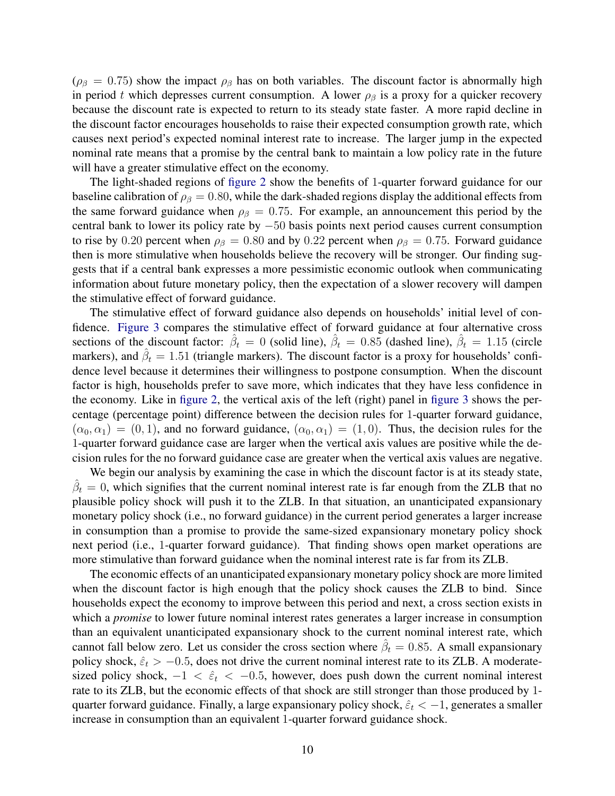( $\rho_\beta$  = 0.75) show the impact  $\rho_\beta$  has on both variables. The discount factor is abnormally high in period t which depresses current consumption. A lower  $\rho_\beta$  is a proxy for a quicker recovery because the discount rate is expected to return to its steady state faster. A more rapid decline in the discount factor encourages households to raise their expected consumption growth rate, which causes next period's expected nominal interest rate to increase. The larger jump in the expected nominal rate means that a promise by the central bank to maintain a low policy rate in the future will have a greater stimulative effect on the economy.

The light-shaded regions of [figure 2](#page-9-0) show the benefits of 1-quarter forward guidance for our baseline calibration of  $\rho_\beta = 0.80$ , while the dark-shaded regions display the additional effects from the same forward guidance when  $\rho_{\beta} = 0.75$ . For example, an announcement this period by the central bank to lower its policy rate by −50 basis points next period causes current consumption to rise by 0.20 percent when  $\rho_{\beta} = 0.80$  and by 0.22 percent when  $\rho_{\beta} = 0.75$ . Forward guidance then is more stimulative when households believe the recovery will be stronger. Our finding suggests that if a central bank expresses a more pessimistic economic outlook when communicating information about future monetary policy, then the expectation of a slower recovery will dampen the stimulative effect of forward guidance.

The stimulative effect of forward guidance also depends on households' initial level of confidence. [Figure 3](#page-11-0) compares the stimulative effect of forward guidance at four alternative cross sections of the discount factor:  $\hat{\beta}_t = 0$  (solid line),  $\hat{\beta}_t = 0.85$  (dashed line),  $\hat{\beta}_t = 1.15$  (circle markers), and  $\hat{\beta}_t = 1.51$  (triangle markers). The discount factor is a proxy for households' confidence level because it determines their willingness to postpone consumption. When the discount factor is high, households prefer to save more, which indicates that they have less confidence in the economy. Like in [figure 2,](#page-9-0) the vertical axis of the left (right) panel in [figure 3](#page-11-0) shows the percentage (percentage point) difference between the decision rules for 1-quarter forward guidance,  $(\alpha_0, \alpha_1) = (0, 1)$ , and no forward guidance,  $(\alpha_0, \alpha_1) = (1, 0)$ . Thus, the decision rules for the 1-quarter forward guidance case are larger when the vertical axis values are positive while the decision rules for the no forward guidance case are greater when the vertical axis values are negative.

We begin our analysis by examining the case in which the discount factor is at its steady state,  $\hat{\beta}_t = 0$ , which signifies that the current nominal interest rate is far enough from the ZLB that no plausible policy shock will push it to the ZLB. In that situation, an unanticipated expansionary monetary policy shock (i.e., no forward guidance) in the current period generates a larger increase in consumption than a promise to provide the same-sized expansionary monetary policy shock next period (i.e., 1-quarter forward guidance). That finding shows open market operations are more stimulative than forward guidance when the nominal interest rate is far from its ZLB.

The economic effects of an unanticipated expansionary monetary policy shock are more limited when the discount factor is high enough that the policy shock causes the ZLB to bind. Since households expect the economy to improve between this period and next, a cross section exists in which a *promise* to lower future nominal interest rates generates a larger increase in consumption than an equivalent unanticipated expansionary shock to the current nominal interest rate, which cannot fall below zero. Let us consider the cross section where  $\hat{\beta}_t = 0.85$ . A small expansionary policy shock,  $\hat{\varepsilon}_t > -0.5$ , does not drive the current nominal interest rate to its ZLB. A moderatesized policy shock,  $-1 < \hat{\varepsilon}_t < -0.5$ , however, does push down the current nominal interest rate to its ZLB, but the economic effects of that shock are still stronger than those produced by 1 quarter forward guidance. Finally, a large expansionary policy shock,  $\hat{\epsilon}_t < -1$ , generates a smaller increase in consumption than an equivalent 1-quarter forward guidance shock.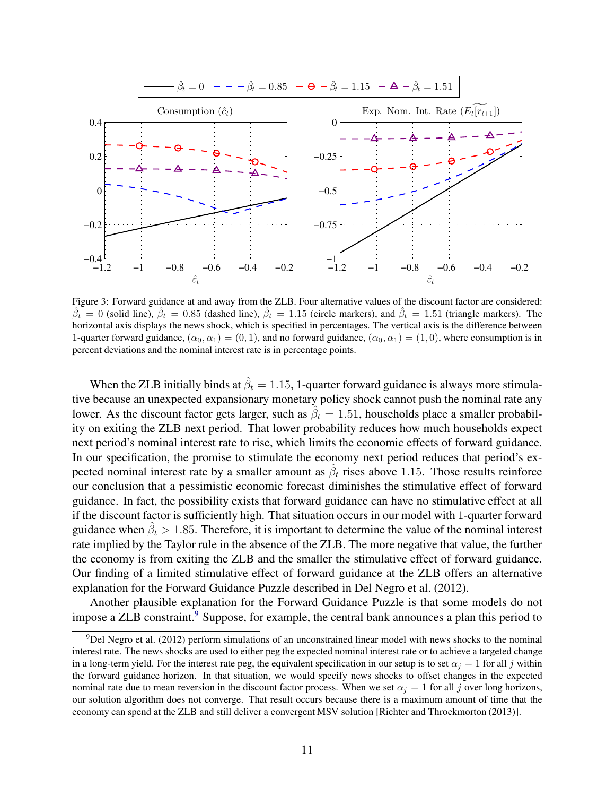<span id="page-11-0"></span>

Figure 3: Forward guidance at and away from the ZLB. Four alternative values of the discount factor are considered:  $\hat{\beta}_t = 0$  (solid line),  $\hat{\beta}_t = 0.85$  (dashed line),  $\hat{\beta}_t = 1.15$  (circle markers), and  $\hat{\beta}_t = 1.51$  (triangle markers). The horizontal axis displays the news shock, which is specified in percentages. The vertical axis is the difference between 1-quarter forward guidance,  $(\alpha_0, \alpha_1) = (0, 1)$ , and no forward guidance,  $(\alpha_0, \alpha_1) = (1, 0)$ , where consumption is in percent deviations and the nominal interest rate is in percentage points.

When the ZLB initially binds at  $\hat{\beta}_t = 1.15$ , 1-quarter forward guidance is always more stimulative because an unexpected expansionary monetary policy shock cannot push the nominal rate any lower. As the discount factor gets larger, such as  $\hat{\beta}_t = 1.51$ , households place a smaller probability on exiting the ZLB next period. That lower probability reduces how much households expect next period's nominal interest rate to rise, which limits the economic effects of forward guidance. In our specification, the promise to stimulate the economy next period reduces that period's expected nominal interest rate by a smaller amount as  $\hat{\beta}_t$  rises above 1.15. Those results reinforce our conclusion that a pessimistic economic forecast diminishes the stimulative effect of forward guidance. In fact, the possibility exists that forward guidance can have no stimulative effect at all if the discount factor is sufficiently high. That situation occurs in our model with 1-quarter forward guidance when  $\hat{\beta}_t > 1.85$ . Therefore, it is important to determine the value of the nominal interest rate implied by the Taylor rule in the absence of the ZLB. The more negative that value, the further the economy is from exiting the ZLB and the smaller the stimulative effect of forward guidance. Our finding of a limited stimulative effect of forward guidance at the ZLB offers an alternative explanation for the Forward Guidance Puzzle described in [Del Negro et al. \(2012](#page-24-1)).

Another plausible explanation for the Forward Guidance Puzzle is that some models do not impose a ZLB constraint.<sup>[9](#page-11-1)</sup> Suppose, for example, the central bank announces a plan this period to

<span id="page-11-1"></span><sup>9</sup>[Del Negro et al. \(2012](#page-24-1)) perform simulations of an unconstrained linear model with news shocks to the nominal interest rate. The news shocks are used to either peg the expected nominal interest rate or to achieve a targeted change in a long-term yield. For the interest rate peg, the equivalent specification in our setup is to set  $\alpha_j = 1$  for all j within the forward guidance horizon. In that situation, we would specify news shocks to offset changes in the expected nominal rate due to mean reversion in the discount factor process. When we set  $\alpha_j = 1$  for all j over long horizons, our solution algorithm does not converge. That result occurs because there is a maximum amount of time that the economy can spend at the ZLB and still deliver a convergent MSV solution [\[Richter and Throckmorton](#page-26-8) [\(2013\)](#page-26-8)].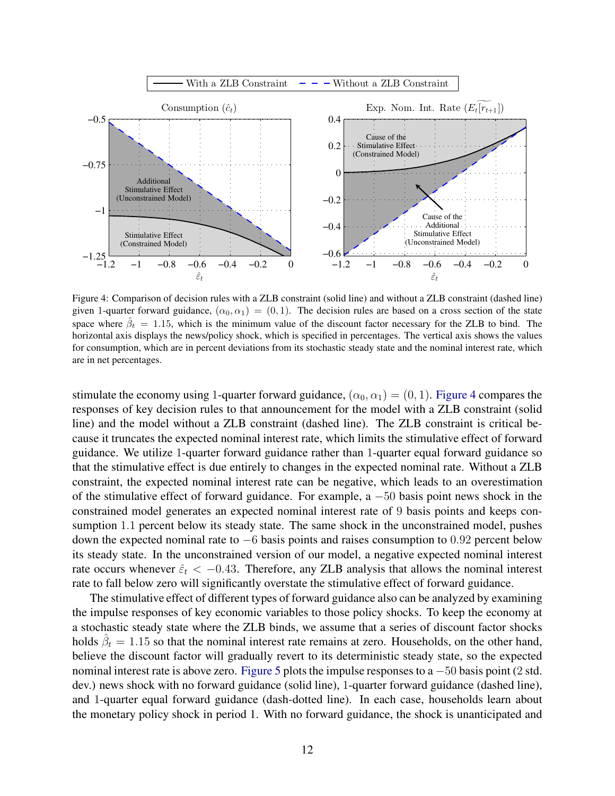<span id="page-12-0"></span>

Figure 4: Comparison of decision rules with a ZLB constraint (solid line) and without a ZLB constraint (dashed line) given 1-quarter forward guidance,  $(\alpha_0, \alpha_1) = (0, 1)$ . The decision rules are based on a cross section of the state space where  $\hat{\beta}_t = 1.15$ , which is the minimum value of the discount factor necessary for the ZLB to bind. The horizontal axis displays the news/policy shock, which is specified in percentages. The vertical axis shows the values for consumption, which are in percent deviations from its stochastic steady state and the nominal interest rate, which are in net percentages.

stimulate the economy using 1-quarter forward guidance,  $(\alpha_0, \alpha_1) = (0, 1)$ . [Figure 4](#page-12-0) compares the responses of key decision rules to that announcement for the model with a ZLB constraint (solid line) and the model without a ZLB constraint (dashed line). The ZLB constraint is critical because it truncates the expected nominal interest rate, which limits the stimulative effect of forward guidance. We utilize 1-quarter forward guidance rather than 1-quarter equal forward guidance so that the stimulative effect is due entirely to changes in the expected nominal rate. Without a ZLB constraint, the expected nominal interest rate can be negative, which leads to an overestimation of the stimulative effect of forward guidance. For example, a −50 basis point news shock in the constrained model generates an expected nominal interest rate of 9 basis points and keeps consumption 1.1 percent below its steady state. The same shock in the unconstrained model, pushes down the expected nominal rate to  $-6$  basis points and raises consumption to 0.92 percent below its steady state. In the unconstrained version of our model, a negative expected nominal interest rate occurs whenever  $\hat{\epsilon}_t < -0.43$ . Therefore, any ZLB analysis that allows the nominal interest rate to fall below zero will significantly overstate the stimulative effect of forward guidance.

The stimulative effect of different types of forward guidance also can be analyzed by examining the impulse responses of key economic variables to those policy shocks. To keep the economy at a stochastic steady state where the ZLB binds, we assume that a series of discount factor shocks holds  $\hat{\beta}_t = 1.15$  so that the nominal interest rate remains at zero. Households, on the other hand, believe the discount factor will gradually revert to its deterministic steady state, so the expected nominal interest rate is above zero. [Figure 5](#page-13-0) plots the impulse responses to a −50 basis point (2 std. dev.) news shock with no forward guidance (solid line), 1-quarter forward guidance (dashed line), and 1-quarter equal forward guidance (dash-dotted line). In each case, households learn about the monetary policy shock in period 1. With no forward guidance, the shock is unanticipated and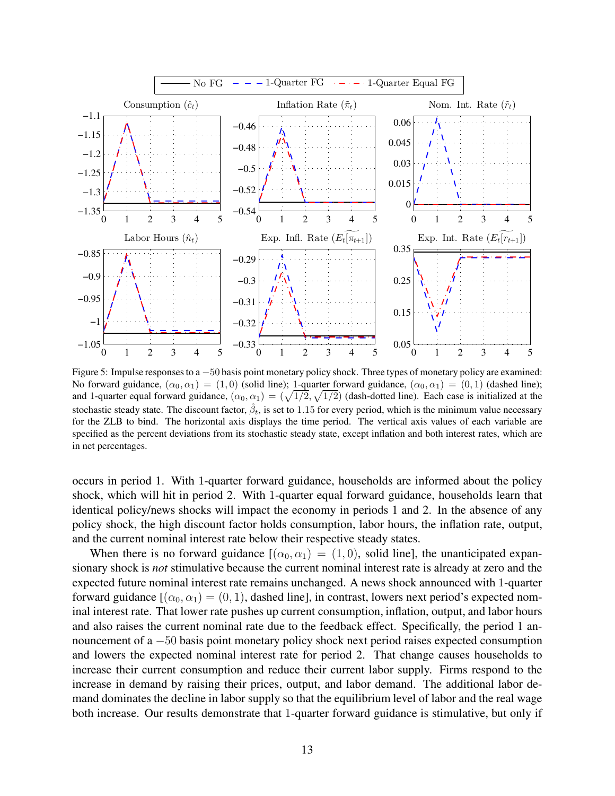<span id="page-13-0"></span>

Figure 5: Impulse responses to a −50 basis point monetary policy shock. Three types of monetary policy are examined: No forward guidance,  $(\alpha_0, \alpha_1) = (1, 0)$  (solid line); 1-quarter forward guidance,  $(\alpha_0, \alpha_1) = (0, 1)$  (dashed line); and 1-quarter equal forward guidance,  $(\alpha_0, \alpha_1) = (\sqrt{1/2}, \sqrt{1/2})$  (dash-dotted line). Each case is initialized at the stochastic steady state. The discount factor,  $\hat{\beta}_t$ , is set to 1.15 for every period, which is the minimum value necessary for the ZLB to bind. The horizontal axis displays the time period. The vertical axis values of each variable are specified as the percent deviations from its stochastic steady state, except inflation and both interest rates, which are in net percentages.

occurs in period 1. With 1-quarter forward guidance, households are informed about the policy shock, which will hit in period 2. With 1-quarter equal forward guidance, households learn that identical policy/news shocks will impact the economy in periods 1 and 2. In the absence of any policy shock, the high discount factor holds consumption, labor hours, the inflation rate, output, and the current nominal interest rate below their respective steady states.

When there is no forward guidance  $[(\alpha_0, \alpha_1) = (1, 0)$ , solid line], the unanticipated expansionary shock is *not* stimulative because the current nominal interest rate is already at zero and the expected future nominal interest rate remains unchanged. A news shock announced with 1-quarter forward guidance  $[(\alpha_0, \alpha_1) = (0, 1)$ , dashed line], in contrast, lowers next period's expected nominal interest rate. That lower rate pushes up current consumption, inflation, output, and labor hours and also raises the current nominal rate due to the feedback effect. Specifically, the period 1 announcement of a −50 basis point monetary policy shock next period raises expected consumption and lowers the expected nominal interest rate for period 2. That change causes households to increase their current consumption and reduce their current labor supply. Firms respond to the increase in demand by raising their prices, output, and labor demand. The additional labor demand dominates the decline in labor supply so that the equilibrium level of labor and the real wage both increase. Our results demonstrate that 1-quarter forward guidance is stimulative, but only if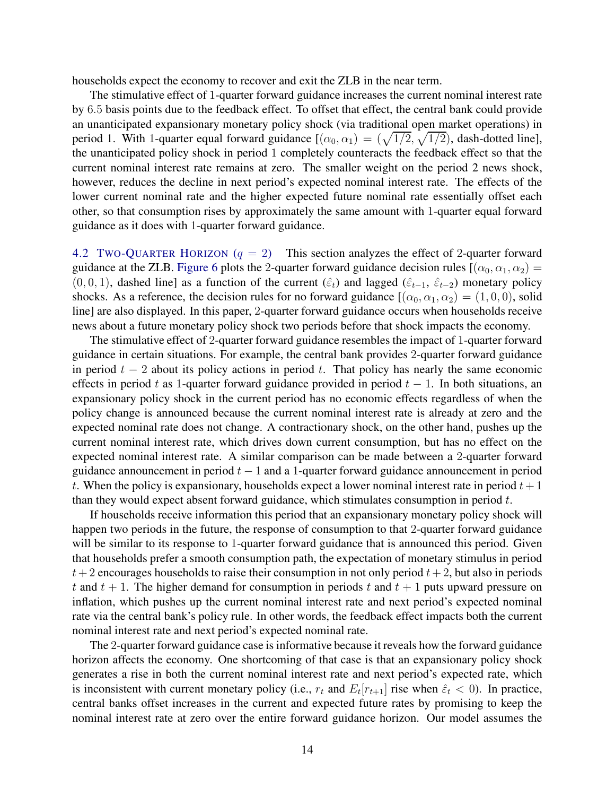households expect the economy to recover and exit the ZLB in the near term.

The stimulative effect of 1-quarter forward guidance increases the current nominal interest rate by 6.5 basis points due to the feedback effect. To offset that effect, the central bank could provide an unanticipated expansionary monetary policy shock (via traditional open market operations) in period 1. With 1-quarter equal forward guidance  $[(\alpha_0, \alpha_1) = (\sqrt{1/2}, \sqrt{1/2})$ , dash-dotted line], the unanticipated policy shock in period 1 completely counteracts the feedback effect so that the current nominal interest rate remains at zero. The smaller weight on the period 2 news shock, however, reduces the decline in next period's expected nominal interest rate. The effects of the lower current nominal rate and the higher expected future nominal rate essentially offset each other, so that consumption rises by approximately the same amount with 1-quarter equal forward guidance as it does with 1-quarter forward guidance.

<span id="page-14-0"></span>4.2 TWO-QUARTER HORIZON  $(q = 2)$  This section analyzes the effect of 2-quarter forward guidance at the ZLB. [Figure 6](#page-15-0) plots the 2-quarter forward guidance decision rules  $[(\alpha_0, \alpha_1, \alpha_2)]$ (0, 0, 1), dashed line] as a function of the current  $(\hat{\varepsilon}_t)$  and lagged  $(\hat{\varepsilon}_{t-1}, \hat{\varepsilon}_{t-2})$  monetary policy shocks. As a reference, the decision rules for no forward guidance  $[(\alpha_0, \alpha_1, \alpha_2) = (1, 0, 0)$ , solid line] are also displayed. In this paper, 2-quarter forward guidance occurs when households receive news about a future monetary policy shock two periods before that shock impacts the economy.

The stimulative effect of 2-quarter forward guidance resembles the impact of 1-quarter forward guidance in certain situations. For example, the central bank provides 2-quarter forward guidance in period  $t - 2$  about its policy actions in period t. That policy has nearly the same economic effects in period t as 1-quarter forward guidance provided in period  $t - 1$ . In both situations, an expansionary policy shock in the current period has no economic effects regardless of when the policy change is announced because the current nominal interest rate is already at zero and the expected nominal rate does not change. A contractionary shock, on the other hand, pushes up the current nominal interest rate, which drives down current consumption, but has no effect on the expected nominal interest rate. A similar comparison can be made between a 2-quarter forward guidance announcement in period  $t - 1$  and a 1-quarter forward guidance announcement in period t. When the policy is expansionary, households expect a lower nominal interest rate in period  $t + 1$ than they would expect absent forward guidance, which stimulates consumption in period  $t$ .

If households receive information this period that an expansionary monetary policy shock will happen two periods in the future, the response of consumption to that 2-quarter forward guidance will be similar to its response to 1-quarter forward guidance that is announced this period. Given that households prefer a smooth consumption path, the expectation of monetary stimulus in period  $t+2$  encourages households to raise their consumption in not only period  $t+2$ , but also in periods t and  $t + 1$ . The higher demand for consumption in periods t and  $t + 1$  puts upward pressure on inflation, which pushes up the current nominal interest rate and next period's expected nominal rate via the central bank's policy rule. In other words, the feedback effect impacts both the current nominal interest rate and next period's expected nominal rate.

The 2-quarter forward guidance case is informative because it reveals how the forward guidance horizon affects the economy. One shortcoming of that case is that an expansionary policy shock generates a rise in both the current nominal interest rate and next period's expected rate, which is inconsistent with current monetary policy (i.e.,  $r_t$  and  $E_t[r_{t+1}]$  rise when  $\hat{\varepsilon}_t < 0$ ). In practice, central banks offset increases in the current and expected future rates by promising to keep the nominal interest rate at zero over the entire forward guidance horizon. Our model assumes the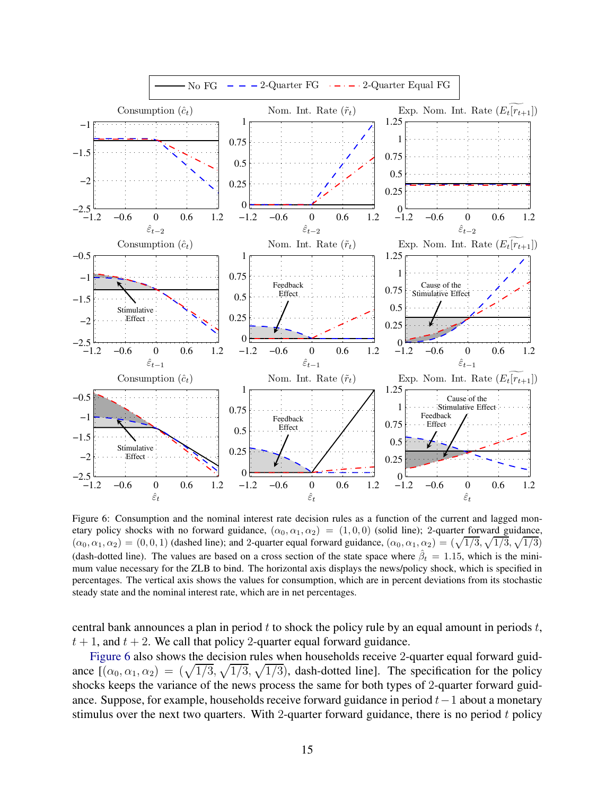<span id="page-15-0"></span>

Figure 6: Consumption and the nominal interest rate decision rules as a function of the current and lagged monetary policy shocks with no forward guidance,  $(\alpha_0, \alpha_1, \alpha_2) = (1, 0, 0)$  (solid line); 2-quarter forward guidance,  $(\alpha_0, \alpha_1, \alpha_2) = (0, 0, 1)$  (dashed line); and 2-quarter equal forward guidance,  $(\alpha_0, \alpha_1, \alpha_2) = (\sqrt{1/3}, \sqrt{1/3}, \sqrt{1/3})$ (dash-dotted line). The values are based on a cross section of the state space where  $\hat{\beta}_t = 1.15$ , which is the minimum value necessary for the ZLB to bind. The horizontal axis displays the news/policy shock, which is specified in percentages. The vertical axis shows the values for consumption, which are in percent deviations from its stochastic steady state and the nominal interest rate, which are in net percentages.

central bank announces a plan in period  $t$  to shock the policy rule by an equal amount in periods  $t$ ,  $t + 1$ , and  $t + 2$ . We call that policy 2-quarter equal forward guidance.

[Figure 6](#page-15-0) also shows the decision rules when households receive 2-quarter equal forward guidance  $[(\alpha_0, \alpha_1, \alpha_2) = (\sqrt{1/3}, \sqrt{1/3}, \sqrt{1/3})$ , dash-dotted line]. The specification for the policy shocks keeps the variance of the news process the same for both types of 2-quarter forward guidance. Suppose, for example, households receive forward guidance in period t−1 about a monetary stimulus over the next two quarters. With 2-quarter forward guidance, there is no period  $t$  policy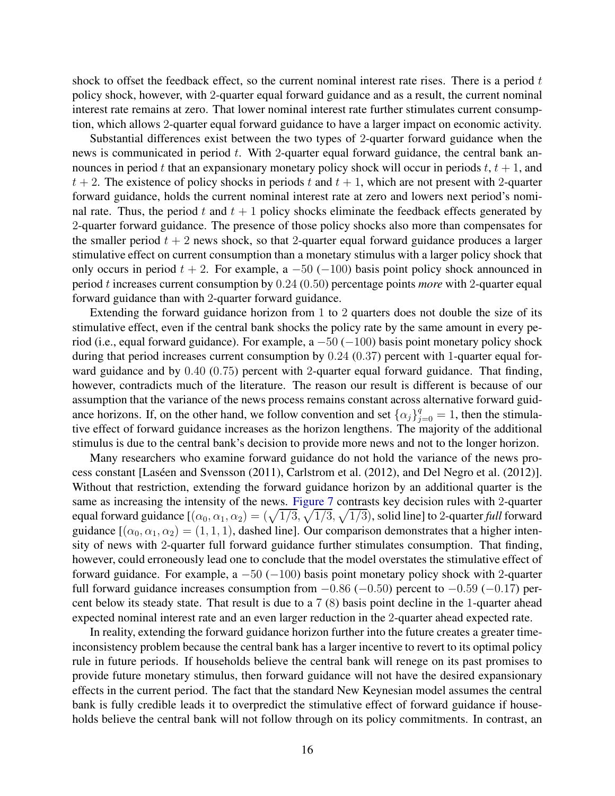shock to offset the feedback effect, so the current nominal interest rate rises. There is a period  $t$ policy shock, however, with 2-quarter equal forward guidance and as a result, the current nominal interest rate remains at zero. That lower nominal interest rate further stimulates current consumption, which allows 2-quarter equal forward guidance to have a larger impact on economic activity.

Substantial differences exist between the two types of 2-quarter forward guidance when the news is communicated in period  $t$ . With 2-quarter equal forward guidance, the central bank announces in period t that an expansionary monetary policy shock will occur in periods  $t, t + 1$ , and  $t + 2$ . The existence of policy shocks in periods t and  $t + 1$ , which are not present with 2-quarter forward guidance, holds the current nominal interest rate at zero and lowers next period's nominal rate. Thus, the period t and  $t + 1$  policy shocks eliminate the feedback effects generated by 2-quarter forward guidance. The presence of those policy shocks also more than compensates for the smaller period  $t + 2$  news shock, so that 2-quarter equal forward guidance produces a larger stimulative effect on current consumption than a monetary stimulus with a larger policy shock that only occurs in period  $t + 2$ . For example, a  $-50$  ( $-100$ ) basis point policy shock announced in period t increases current consumption by 0.24 (0.50) percentage points *more* with 2-quarter equal forward guidance than with 2-quarter forward guidance.

Extending the forward guidance horizon from 1 to 2 quarters does not double the size of its stimulative effect, even if the central bank shocks the policy rate by the same amount in every period (i.e., equal forward guidance). For example, a  $-50$  ( $-100$ ) basis point monetary policy shock during that period increases current consumption by 0.24 (0.37) percent with 1-quarter equal forward guidance and by 0.40 (0.75) percent with 2-quarter equal forward guidance. That finding, however, contradicts much of the literature. The reason our result is different is because of our assumption that the variance of the news process remains constant across alternative forward guidance horizons. If, on the other hand, we follow convention and set  $\{\alpha_j\}_{j=0}^q = 1$ , then the stimulative effect of forward guidance increases as the horizon lengthens. The majority of the additional stimulus is due to the central bank's decision to provide more news and not to the longer horizon.

Many researchers who examine forward guidance do not hold the variance of the news process constant [\[Las´een and Svensson](#page-25-0) [\(2011\)](#page-25-0), [Carlstrom et al.](#page-24-7) [\(2012\)](#page-24-7), and [Del Negro et al. \(2012](#page-24-1))]. Without that restriction, extending the forward guidance horizon by an additional quarter is the same as increasing the intensity of the news. [Figure 7](#page-17-0) contrasts key decision rules with 2-quarter equal forward guidance  $[(\alpha_0,\alpha_1,\alpha_2)=(\sqrt{1/3},\sqrt{1/3},\sqrt{1/3})$ , solid line] to 2-quarter *full* forward guidance  $[(\alpha_0, \alpha_1, \alpha_2) = (1, 1, 1)$ , dashed line]. Our comparison demonstrates that a higher intensity of news with 2-quarter full forward guidance further stimulates consumption. That finding, however, could erroneously lead one to conclude that the model overstates the stimulative effect of forward guidance. For example, a  $-50$  ( $-100$ ) basis point monetary policy shock with 2-quarter full forward guidance increases consumption from  $-0.86$  ( $-0.50$ ) percent to  $-0.59$  ( $-0.17$ ) percent below its steady state. That result is due to a 7 (8) basis point decline in the 1-quarter ahead expected nominal interest rate and an even larger reduction in the 2-quarter ahead expected rate.

In reality, extending the forward guidance horizon further into the future creates a greater timeinconsistency problem because the central bank has a larger incentive to revert to its optimal policy rule in future periods. If households believe the central bank will renege on its past promises to provide future monetary stimulus, then forward guidance will not have the desired expansionary effects in the current period. The fact that the standard New Keynesian model assumes the central bank is fully credible leads it to overpredict the stimulative effect of forward guidance if households believe the central bank will not follow through on its policy commitments. In contrast, an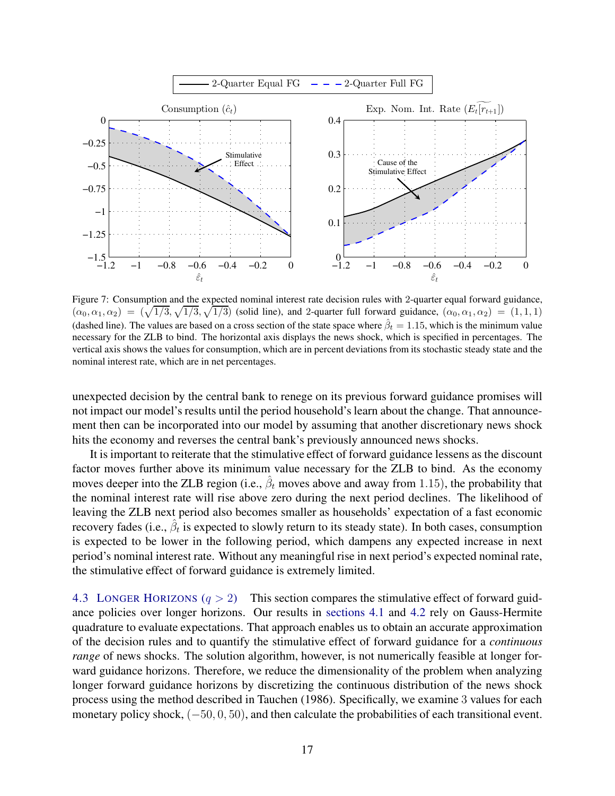<span id="page-17-0"></span>

Figure 7: Consumption and the expected nominal interest rate decision rules with 2-quarter equal forward guidance,  $(\alpha_0, \alpha_1, \alpha_2) = (\sqrt{1/3}, \sqrt{1/3}, \sqrt{1/3})$  (solid line), and 2-quarter full forward guidance,  $(\alpha_0, \alpha_1, \alpha_2) = (1, 1, 1)$ (dashed line). The values are based on a cross section of the state space where  $\hat{\beta}_t = 1.15$ , which is the minimum value necessary for the ZLB to bind. The horizontal axis displays the news shock, which is specified in percentages. The vertical axis shows the values for consumption, which are in percent deviations from its stochastic steady state and the nominal interest rate, which are in net percentages.

unexpected decision by the central bank to renege on its previous forward guidance promises will not impact our model's results until the period household's learn about the change. That announcement then can be incorporated into our model by assuming that another discretionary news shock hits the economy and reverses the central bank's previously announced news shocks.

It is important to reiterate that the stimulative effect of forward guidance lessens as the discount factor moves further above its minimum value necessary for the ZLB to bind. As the economy moves deeper into the ZLB region (i.e.,  $\hat{\beta}_t$  moves above and away from 1.15), the probability that the nominal interest rate will rise above zero during the next period declines. The likelihood of leaving the ZLB next period also becomes smaller as households' expectation of a fast economic recovery fades (i.e.,  $\hat{\beta}_t$  is expected to slowly return to its steady state). In both cases, consumption is expected to be lower in the following period, which dampens any expected increase in next period's nominal interest rate. Without any meaningful rise in next period's expected nominal rate, the stimulative effect of forward guidance is extremely limited.

4.3 LONGER HORIZONS  $(q > 2)$  This section compares the stimulative effect of forward guidance policies over longer horizons. Our results in [sections 4.1](#page-7-3) and [4.2](#page-14-0) rely on Gauss-Hermite quadrature to evaluate expectations. That approach enables us to obtain an accurate approximation of the decision rules and to quantify the stimulative effect of forward guidance for a *continuous range* of news shocks. The solution algorithm, however, is not numerically feasible at longer forward guidance horizons. Therefore, we reduce the dimensionality of the problem when analyzing longer forward guidance horizons by discretizing the continuous distribution of the news shock process using the method described in [Tauchen \(1986](#page-26-10)). Specifically, we examine 3 values for each monetary policy shock, (−50, 0, 50), and then calculate the probabilities of each transitional event.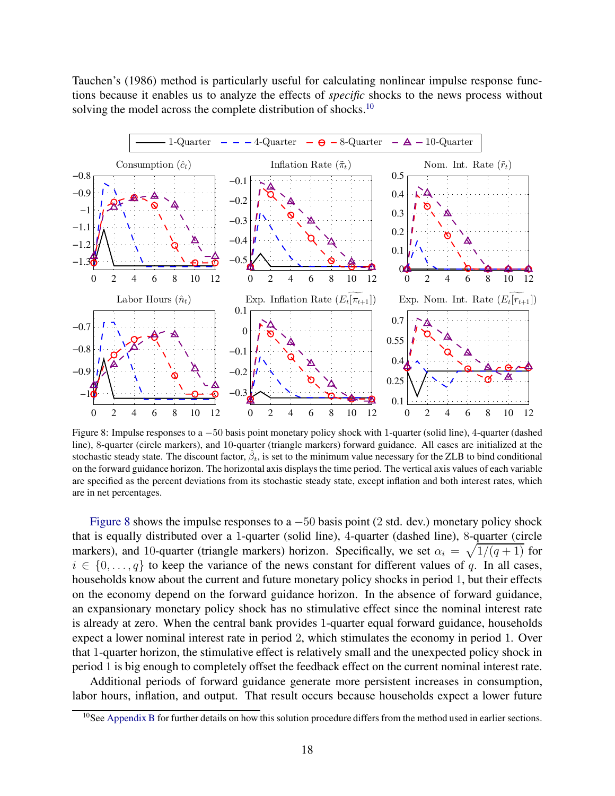[Tauchen](#page-26-10)'s [\(1986](#page-26-10)) method is particularly useful for calculating nonlinear impulse response functions because it enables us to analyze the effects of *specific* shocks to the news process without solving the model across the complete distribution of shocks.<sup>[10](#page-18-0)</sup>

<span id="page-18-1"></span>

Figure 8: Impulse responses to a −50 basis point monetary policy shock with 1-quarter (solid line), 4-quarter (dashed line), 8-quarter (circle markers), and 10-quarter (triangle markers) forward guidance. All cases are initialized at the stochastic steady state. The discount factor,  $\hat{\beta}_t$ , is set to the minimum value necessary for the ZLB to bind conditional on the forward guidance horizon. The horizontal axis displays the time period. The vertical axis values of each variable are specified as the percent deviations from its stochastic steady state, except inflation and both interest rates, which are in net percentages.

[Figure 8](#page-18-1) shows the impulse responses to a  $-50$  basis point (2 std. dev.) monetary policy shock that is equally distributed over a 1-quarter (solid line), 4-quarter (dashed line), 8-quarter (circle markers), and 10-quarter (triangle markers) horizon. Specifically, we set  $\alpha_i = \sqrt{1/(q+1)}$  for  $i \in \{0, \ldots, q\}$  to keep the variance of the news constant for different values of q. In all cases, households know about the current and future monetary policy shocks in period 1, but their effects on the economy depend on the forward guidance horizon. In the absence of forward guidance, an expansionary monetary policy shock has no stimulative effect since the nominal interest rate is already at zero. When the central bank provides 1-quarter equal forward guidance, households expect a lower nominal interest rate in period 2, which stimulates the economy in period 1. Over that 1-quarter horizon, the stimulative effect is relatively small and the unexpected policy shock in period 1 is big enough to completely offset the feedback effect on the current nominal interest rate.

Additional periods of forward guidance generate more persistent increases in consumption, labor hours, inflation, and output. That result occurs because households expect a lower future

<span id="page-18-0"></span><sup>&</sup>lt;sup>10</sup>See [Appendix B](#page-28-0) for further details on how this solution procedure differs from the method used in earlier sections.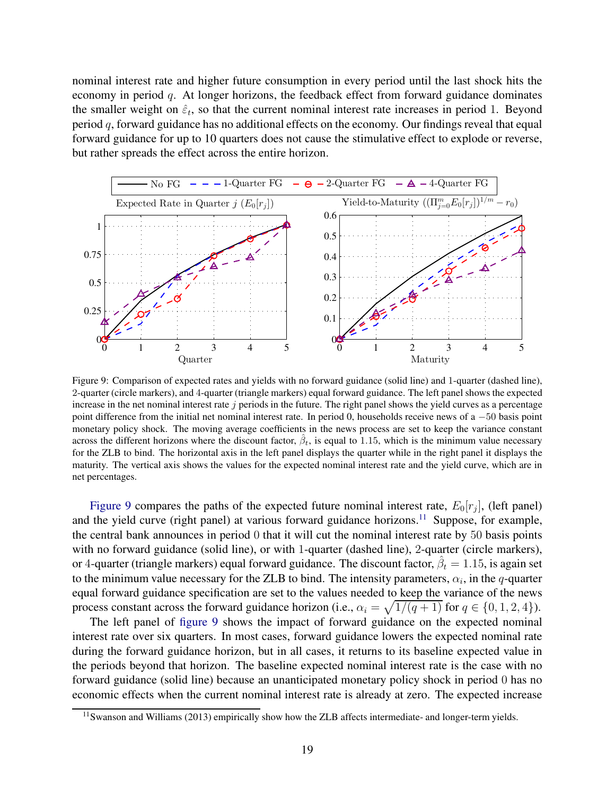nominal interest rate and higher future consumption in every period until the last shock hits the economy in period q. At longer horizons, the feedback effect from forward guidance dominates the smaller weight on  $\hat{\varepsilon}_t$ , so that the current nominal interest rate increases in period 1. Beyond period  $q$ , forward guidance has no additional effects on the economy. Our findings reveal that equal forward guidance for up to 10 quarters does not cause the stimulative effect to explode or reverse, but rather spreads the effect across the entire horizon.

<span id="page-19-0"></span>

Figure 9: Comparison of expected rates and yields with no forward guidance (solid line) and 1-quarter (dashed line), 2-quarter (circle markers), and 4-quarter (triangle markers) equal forward guidance. The left panel shows the expected increase in the net nominal interest rate  $j$  periods in the future. The right panel shows the yield curves as a percentage point difference from the initial net nominal interest rate. In period 0, households receive news of a −50 basis point monetary policy shock. The moving average coefficients in the news process are set to keep the variance constant across the different horizons where the discount factor,  $\hat{\beta}_t$ , is equal to 1.15, which is the minimum value necessary for the ZLB to bind. The horizontal axis in the left panel displays the quarter while in the right panel it displays the maturity. The vertical axis shows the values for the expected nominal interest rate and the yield curve, which are in net percentages.

[Figure 9](#page-19-0) compares the paths of the expected future nominal interest rate,  $E_0[r_j]$ , (left panel) and the yield curve (right panel) at various forward guidance horizons.<sup>[11](#page-19-1)</sup> Suppose, for example, the central bank announces in period 0 that it will cut the nominal interest rate by 50 basis points with no forward guidance (solid line), or with 1-quarter (dashed line), 2-quarter (circle markers), or 4-quarter (triangle markers) equal forward guidance. The discount factor,  $\hat{\beta}_t = 1.15$ , is again set to the minimum value necessary for the ZLB to bind. The intensity parameters,  $\alpha_i$ , in the q-quarter equal forward guidance specification are set to the values needed to keep the variance of the news process constant across the forward guidance horizon (i.e.,  $\alpha_i = \sqrt{1/(q+1)}$  for  $q \in \{0, 1, 2, 4\}$ ).

The left panel of [figure 9](#page-19-0) shows the impact of forward guidance on the expected nominal interest rate over six quarters. In most cases, forward guidance lowers the expected nominal rate during the forward guidance horizon, but in all cases, it returns to its baseline expected value in the periods beyond that horizon. The baseline expected nominal interest rate is the case with no forward guidance (solid line) because an unanticipated monetary policy shock in period 0 has no economic effects when the current nominal interest rate is already at zero. The expected increase

<span id="page-19-1"></span><sup>&</sup>lt;sup>11</sup>[Swanson and Williams \(2013](#page-26-11)) empirically show how the ZLB affects intermediate- and longer-term yields.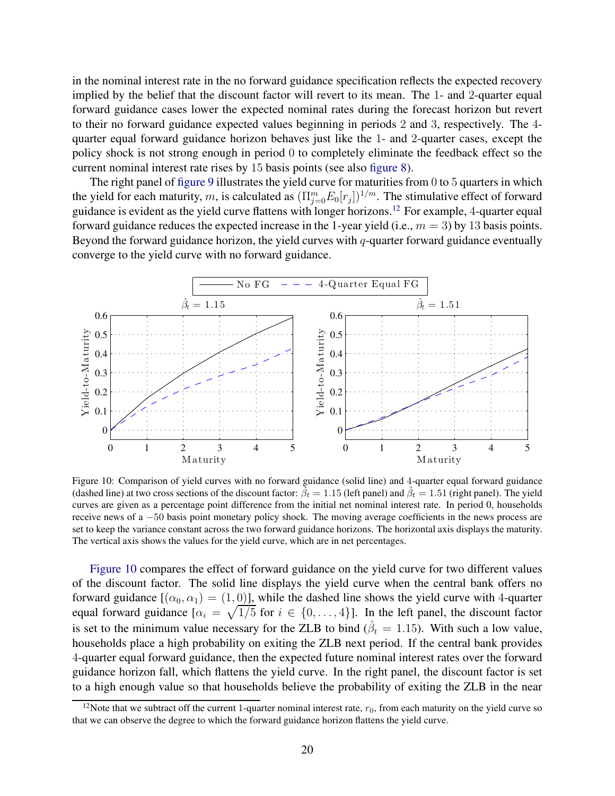in the nominal interest rate in the no forward guidance specification reflects the expected recovery implied by the belief that the discount factor will revert to its mean. The 1- and 2-quarter equal forward guidance cases lower the expected nominal rates during the forecast horizon but revert to their no forward guidance expected values beginning in periods 2 and 3, respectively. The 4 quarter equal forward guidance horizon behaves just like the 1- and 2-quarter cases, except the policy shock is not strong enough in period 0 to completely eliminate the feedback effect so the current nominal interest rate rises by 15 basis points (see also [figure 8\)](#page-18-1).

The right panel of [figure 9](#page-19-0) illustrates the yield curve for maturities from 0 to 5 quarters in which the yield for each maturity, m, is calculated as  $(\Pi_{j=0}^m E_0[r_j])^{1/m}$ . The stimulative effect of forward guidance is evident as the yield curve flattens with longer horizons.[12](#page-20-0) For example, 4-quarter equal forward guidance reduces the expected increase in the 1-year yield (i.e.,  $m = 3$ ) by 13 basis points. Beyond the forward guidance horizon, the yield curves with  $q$ -quarter forward guidance eventually converge to the yield curve with no forward guidance.

<span id="page-20-1"></span>

Figure 10: Comparison of yield curves with no forward guidance (solid line) and 4-quarter equal forward guidance (dashed line) at two cross sections of the discount factor:  $\tilde{\beta}_t = 1.15$  (left panel) and  $\hat{\beta}_t = 1.51$  (right panel). The yield curves are given as a percentage point difference from the initial net nominal interest rate. In period 0, households receive news of a −50 basis point monetary policy shock. The moving average coefficients in the news process are set to keep the variance constant across the two forward guidance horizons. The horizontal axis displays the maturity. The vertical axis shows the values for the yield curve, which are in net percentages.

[Figure 10](#page-20-1) compares the effect of forward guidance on the yield curve for two different values of the discount factor. The solid line displays the yield curve when the central bank offers no forward guidance  $[(\alpha_0, \alpha_1) = (1, 0)]$ , while the dashed line shows the yield curve with 4-quarter equal forward guidance  $[\alpha_i = \sqrt{1/5}$  for  $i \in \{0, \ldots, 4\}]$ . In the left panel, the discount factor is set to the minimum value necessary for the ZLB to bind  $(\hat{\beta}_t = 1.15)$ . With such a low value, households place a high probability on exiting the ZLB next period. If the central bank provides 4-quarter equal forward guidance, then the expected future nominal interest rates over the forward guidance horizon fall, which flattens the yield curve. In the right panel, the discount factor is set to a high enough value so that households believe the probability of exiting the ZLB in the near

<span id="page-20-0"></span><sup>&</sup>lt;sup>12</sup>Note that we subtract off the current 1-quarter nominal interest rate,  $r_0$ , from each maturity on the yield curve so that we can observe the degree to which the forward guidance horizon flattens the yield curve.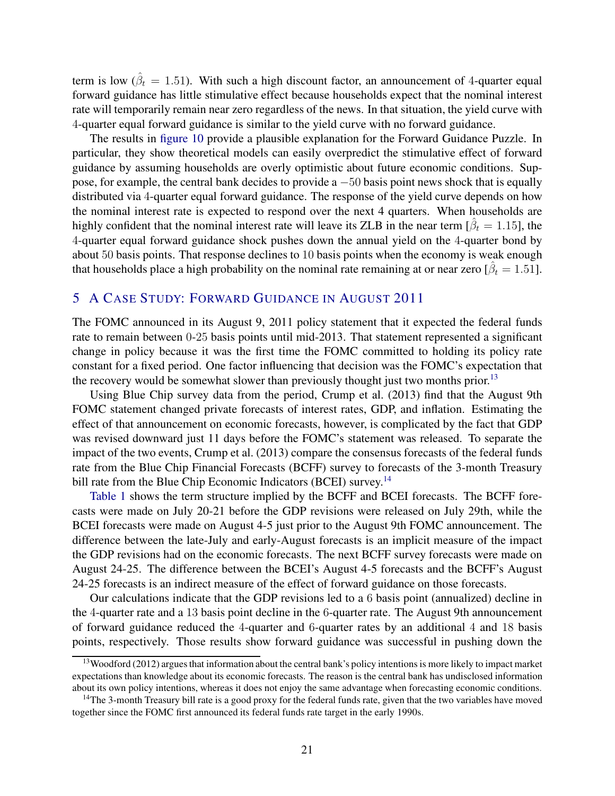term is low ( $\hat{\beta}_t = 1.51$ ). With such a high discount factor, an announcement of 4-quarter equal forward guidance has little stimulative effect because households expect that the nominal interest rate will temporarily remain near zero regardless of the news. In that situation, the yield curve with 4-quarter equal forward guidance is similar to the yield curve with no forward guidance.

The results in [figure 10](#page-20-1) provide a plausible explanation for the Forward Guidance Puzzle. In particular, they show theoretical models can easily overpredict the stimulative effect of forward guidance by assuming households are overly optimistic about future economic conditions. Suppose, for example, the central bank decides to provide a −50 basis point news shock that is equally distributed via 4-quarter equal forward guidance. The response of the yield curve depends on how the nominal interest rate is expected to respond over the next 4 quarters. When households are highly confident that the nominal interest rate will leave its ZLB in the near term  $[\hat{\beta}_t = 1.15]$ , the 4-quarter equal forward guidance shock pushes down the annual yield on the 4-quarter bond by about 50 basis points. That response declines to 10 basis points when the economy is weak enough that households place a high probability on the nominal rate remaining at or near zero  $[\hat{\beta}_t = 1.51]$ .

## <span id="page-21-0"></span>5 A CASE STUDY: FORWARD GUIDANCE IN AUGUST 2011

The FOMC announced in its August 9, 2011 policy statement that it expected the federal funds rate to remain between 0-25 basis points until mid-2013. That statement represented a significant change in policy because it was the first time the FOMC committed to holding its policy rate constant for a fixed period. One factor influencing that decision was the FOMC's expectation that the recovery would be somewhat slower than previously thought just two months prior.<sup>[13](#page-21-1)</sup>

Using Blue Chip survey data from the period, [Crump et al. \(2013](#page-24-13)) find that the August 9th FOMC statement changed private forecasts of interest rates, GDP, and inflation. Estimating the effect of that announcement on economic forecasts, however, is complicated by the fact that GDP was revised downward just 11 days before the FOMC's statement was released. To separate the impact of the two events, [Crump et al. \(2013](#page-24-13)) compare the consensus forecasts of the federal funds rate from the Blue Chip Financial Forecasts (BCFF) survey to forecasts of the 3-month Treasury bill rate from the Blue Chip Economic Indicators (BCEI) survey.<sup>[14](#page-21-2)</sup>

[Table 1](#page-22-0) shows the term structure implied by the BCFF and BCEI forecasts. The BCFF forecasts were made on July 20-21 before the GDP revisions were released on July 29th, while the BCEI forecasts were made on August 4-5 just prior to the August 9th FOMC announcement. The difference between the late-July and early-August forecasts is an implicit measure of the impact the GDP revisions had on the economic forecasts. The next BCFF survey forecasts were made on August 24-25. The difference between the BCEI's August 4-5 forecasts and the BCFF's August 24-25 forecasts is an indirect measure of the effect of forward guidance on those forecasts.

Our calculations indicate that the GDP revisions led to a 6 basis point (annualized) decline in the 4-quarter rate and a 13 basis point decline in the 6-quarter rate. The August 9th announcement of forward guidance reduced the 4-quarter and 6-quarter rates by an additional 4 and 18 basis points, respectively. Those results show forward guidance was successful in pushing down the

<span id="page-21-1"></span> $13$ [Woodford \(2012\)](#page-26-4) argues that information about the central bank's policy intentions is more likely to impact market expectations than knowledge about its economic forecasts. The reason is the central bank has undisclosed information about its own policy intentions, whereas it does not enjoy the same advantage when forecasting economic conditions.

<span id="page-21-2"></span> $14$ The 3-month Treasury bill rate is a good proxy for the federal funds rate, given that the two variables have moved together since the FOMC first announced its federal funds rate target in the early 1990s.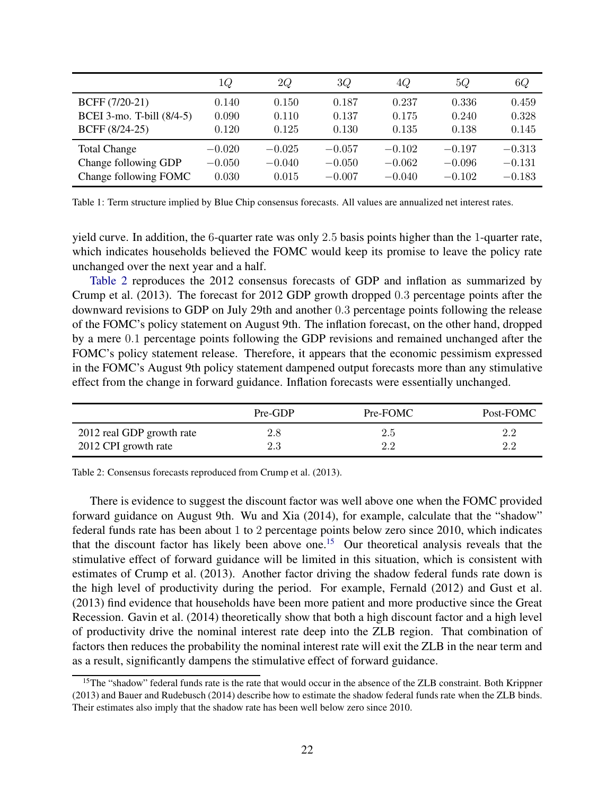<span id="page-22-0"></span>

|                           | 1Q       | 2Q       | 3Q       | 4Q       | 5Q       | 6Q       |
|---------------------------|----------|----------|----------|----------|----------|----------|
| BCFF (7/20-21)            | 0.140    | 0.150    | 0.187    | 0.237    | 0.336    | 0.459    |
| BCEI 3-mo. T-bill (8/4-5) | 0.090    | 0.110    | 0.137    | 0.175    | 0.240    | 0.328    |
| BCFF (8/24-25)            | 0.120    | 0.125    | 0.130    | 0.135    | 0.138    | 0.145    |
| <b>Total Change</b>       | $-0.020$ | $-0.025$ | $-0.057$ | $-0.102$ | $-0.197$ | $-0.313$ |
| Change following GDP      | $-0.050$ | $-0.040$ | $-0.050$ | $-0.062$ | $-0.096$ | $-0.131$ |
| Change following FOMC     | 0.030    | 0.015    | $-0.007$ | $-0.040$ | $-0.102$ | $-0.183$ |

Table 1: Term structure implied by Blue Chip consensus forecasts. All values are annualized net interest rates.

yield curve. In addition, the 6-quarter rate was only 2.5 basis points higher than the 1-quarter rate, which indicates households believed the FOMC would keep its promise to leave the policy rate unchanged over the next year and a half.

[Table 2](#page-22-1) reproduces the 2012 consensus forecasts of GDP and inflation as summarized by [Crump et al. \(2013](#page-24-13)). The forecast for 2012 GDP growth dropped 0.3 percentage points after the downward revisions to GDP on July 29th and another 0.3 percentage points following the release of the FOMC's policy statement on August 9th. The inflation forecast, on the other hand, dropped by a mere 0.1 percentage points following the GDP revisions and remained unchanged after the FOMC's policy statement release. Therefore, it appears that the economic pessimism expressed in the FOMC's August 9th policy statement dampened output forecasts more than any stimulative effect from the change in forward guidance. Inflation forecasts were essentially unchanged.

<span id="page-22-1"></span>

|                           | Pre-GDP | Pre-FOMC | Post-FOMC |
|---------------------------|---------|----------|-----------|
| 2012 real GDP growth rate | 2.8     | 2.5      | 2.2       |
| 2012 CPI growth rate      | 2.3     | 2.2      | າ າ       |

Table 2: Consensus forecasts reproduced from [Crump et al.](#page-24-13) [\(2013\)](#page-24-13).

There is evidence to suggest the discount factor was well above one when the FOMC provided forward guidance on August 9th. [Wu and Xia \(2014](#page-26-12)), for example, calculate that the "shadow" federal funds rate has been about 1 to 2 percentage points below zero since 2010, which indicates that the discount factor has likely been above one.[15](#page-22-2) Our theoretical analysis reveals that the stimulative effect of forward guidance will be limited in this situation, which is consistent with estimates of [Crump et al. \(2013](#page-24-13)). Another factor driving the shadow federal funds rate down is the high level of productivity during the period. For example, [Fernald](#page-25-13) [\(2012\)](#page-25-13) and [Gust et al.](#page-25-6) [\(2013\)](#page-25-6) find evidence that households have been more patient and more productive since the Great Recession. [Gavin et al.](#page-25-8) [\(2014\)](#page-25-8) theoretically show that both a high discount factor and a high level of productivity drive the nominal interest rate deep into the ZLB region. That combination of factors then reduces the probability the nominal interest rate will exit the ZLB in the near term and as a result, significantly dampens the stimulative effect of forward guidance.

<span id="page-22-2"></span><sup>&</sup>lt;sup>15</sup>The "shadow" federal funds rate is the rate that would occur in the absence of the ZLB constraint. Both [Krippner](#page-25-14) [\(2013\)](#page-25-14) and [Bauer and Rudebusch](#page-24-14) [\(2014\)](#page-24-14) describe how to estimate the shadow federal funds rate when the ZLB binds. Their estimates also imply that the shadow rate has been well below zero since 2010.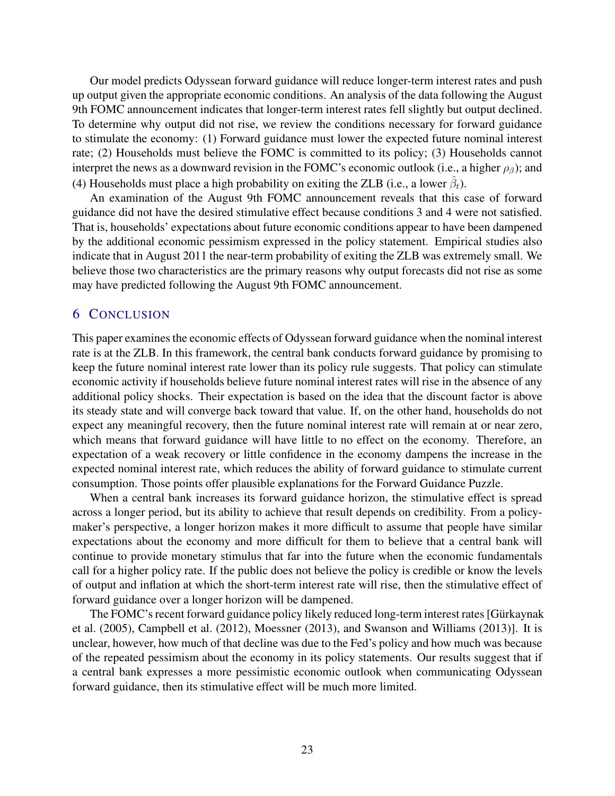Our model predicts Odyssean forward guidance will reduce longer-term interest rates and push up output given the appropriate economic conditions. An analysis of the data following the August 9th FOMC announcement indicates that longer-term interest rates fell slightly but output declined. To determine why output did not rise, we review the conditions necessary for forward guidance to stimulate the economy: (1) Forward guidance must lower the expected future nominal interest rate; (2) Households must believe the FOMC is committed to its policy; (3) Households cannot interpret the news as a downward revision in the FOMC's economic outlook (i.e., a higher  $\rho_{\beta}$ ); and (4) Households must place a high probability on exiting the ZLB (i.e., a lower  $\hat{\beta}_t$ ).

An examination of the August 9th FOMC announcement reveals that this case of forward guidance did not have the desired stimulative effect because conditions 3 and 4 were not satisfied. That is, households' expectations about future economic conditions appear to have been dampened by the additional economic pessimism expressed in the policy statement. Empirical studies also indicate that in August 2011 the near-term probability of exiting the ZLB was extremely small. We believe those two characteristics are the primary reasons why output forecasts did not rise as some may have predicted following the August 9th FOMC announcement.

## <span id="page-23-0"></span>6 CONCLUSION

This paper examines the economic effects of Odyssean forward guidance when the nominal interest rate is at the ZLB. In this framework, the central bank conducts forward guidance by promising to keep the future nominal interest rate lower than its policy rule suggests. That policy can stimulate economic activity if households believe future nominal interest rates will rise in the absence of any additional policy shocks. Their expectation is based on the idea that the discount factor is above its steady state and will converge back toward that value. If, on the other hand, households do not expect any meaningful recovery, then the future nominal interest rate will remain at or near zero, which means that forward guidance will have little to no effect on the economy. Therefore, an expectation of a weak recovery or little confidence in the economy dampens the increase in the expected nominal interest rate, which reduces the ability of forward guidance to stimulate current consumption. Those points offer plausible explanations for the Forward Guidance Puzzle.

When a central bank increases its forward guidance horizon, the stimulative effect is spread across a longer period, but its ability to achieve that result depends on credibility. From a policymaker's perspective, a longer horizon makes it more difficult to assume that people have similar expectations about the economy and more difficult for them to believe that a central bank will continue to provide monetary stimulus that far into the future when the economic fundamentals call for a higher policy rate. If the public does not believe the policy is credible or know the levels of output and inflation at which the short-term interest rate will rise, then the stimulative effect of forward guidance over a longer horizon will be dampened.

[The FOMC's recent forward guidance policy likely reduced long-term interest rates \[](#page-25-15)Gürkaynak] et al. [\(2005](#page-25-15)), [Campbell et al. \(2012](#page-24-0)), [Moessner](#page-25-9) [\(2013\)](#page-25-9), and [Swanson and Williams \(2013](#page-26-11))]. It is unclear, however, how much of that decline was due to the Fed's policy and how much was because of the repeated pessimism about the economy in its policy statements. Our results suggest that if a central bank expresses a more pessimistic economic outlook when communicating Odyssean forward guidance, then its stimulative effect will be much more limited.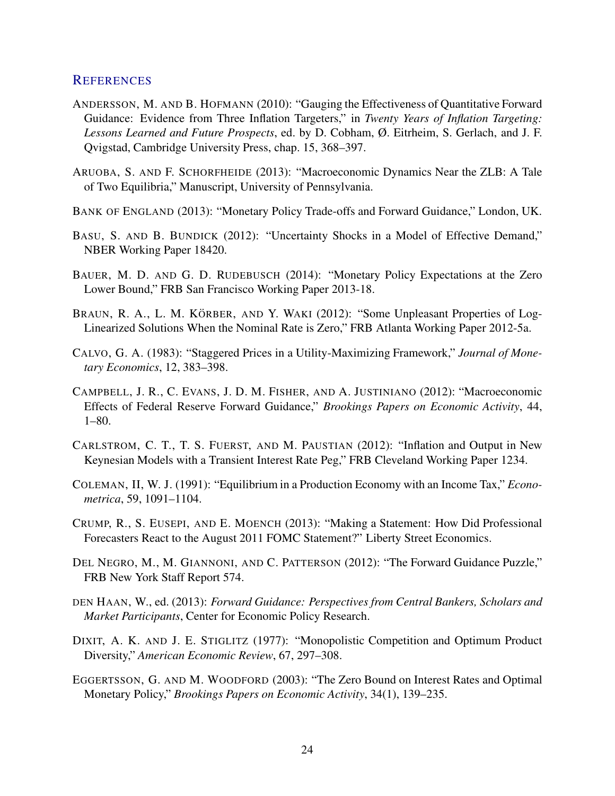## **REFERENCES**

- <span id="page-24-9"></span>ANDERSSON, M. AND B. HOFMANN (2010): "Gauging the Effectiveness of Quantitative Forward Guidance: Evidence from Three Inflation Targeters," in *Twenty Years of Inflation Targeting: Lessons Learned and Future Prospects*, ed. by D. Cobham, Ø. Eitrheim, S. Gerlach, and J. F. Qvigstad, Cambridge University Press, chap. 15, 368–397.
- <span id="page-24-6"></span>ARUOBA, S. AND F. SCHORFHEIDE (2013): "Macroeconomic Dynamics Near the ZLB: A Tale of Two Equilibria," Manuscript, University of Pennsylvania.
- <span id="page-24-2"></span>BANK OF ENGLAND (2013): "Monetary Policy Trade-offs and Forward Guidance," London, UK.
- <span id="page-24-5"></span>BASU, S. AND B. BUNDICK (2012): "Uncertainty Shocks in a Model of Effective Demand," NBER Working Paper 18420.
- <span id="page-24-14"></span>BAUER, M. D. AND G. D. RUDEBUSCH (2014): "Monetary Policy Expectations at the Zero Lower Bound," FRB San Francisco Working Paper 2013-18.
- <span id="page-24-8"></span>BRAUN, R. A., L. M. KÖRBER, AND Y. WAKI (2012): "Some Unpleasant Properties of Log-Linearized Solutions When the Nominal Rate is Zero," FRB Atlanta Working Paper 2012-5a.
- <span id="page-24-11"></span>CALVO, G. A. (1983): "Staggered Prices in a Utility-Maximizing Framework," *Journal of Monetary Economics*, 12, 383–398.
- <span id="page-24-0"></span>CAMPBELL, J. R., C. EVANS, J. D. M. FISHER, AND A. JUSTINIANO (2012): "Macroeconomic Effects of Federal Reserve Forward Guidance," *Brookings Papers on Economic Activity*, 44, 1–80.
- <span id="page-24-7"></span>CARLSTROM, C. T., T. S. FUERST, AND M. PAUSTIAN (2012): "Inflation and Output in New Keynesian Models with a Transient Interest Rate Peg," FRB Cleveland Working Paper 1234.
- <span id="page-24-12"></span>COLEMAN, II, W. J. (1991): "Equilibrium in a Production Economy with an Income Tax," *Econometrica*, 59, 1091–1104.
- <span id="page-24-13"></span>CRUMP, R., S. EUSEPI, AND E. MOENCH (2013): "Making a Statement: How Did Professional Forecasters React to the August 2011 FOMC Statement?" Liberty Street Economics.
- <span id="page-24-1"></span>DEL NEGRO, M., M. GIANNONI, AND C. PATTERSON (2012): "The Forward Guidance Puzzle," FRB New York Staff Report 574.
- <span id="page-24-3"></span>DEN HAAN, W., ed. (2013): *Forward Guidance: Perspectives from Central Bankers, Scholars and Market Participants*, Center for Economic Policy Research.
- <span id="page-24-10"></span>DIXIT, A. K. AND J. E. STIGLITZ (1977): "Monopolistic Competition and Optimum Product Diversity," *American Economic Review*, 67, 297–308.
- <span id="page-24-4"></span>EGGERTSSON, G. AND M. WOODFORD (2003): "The Zero Bound on Interest Rates and Optimal Monetary Policy," *Brookings Papers on Economic Activity*, 34(1), 139–235.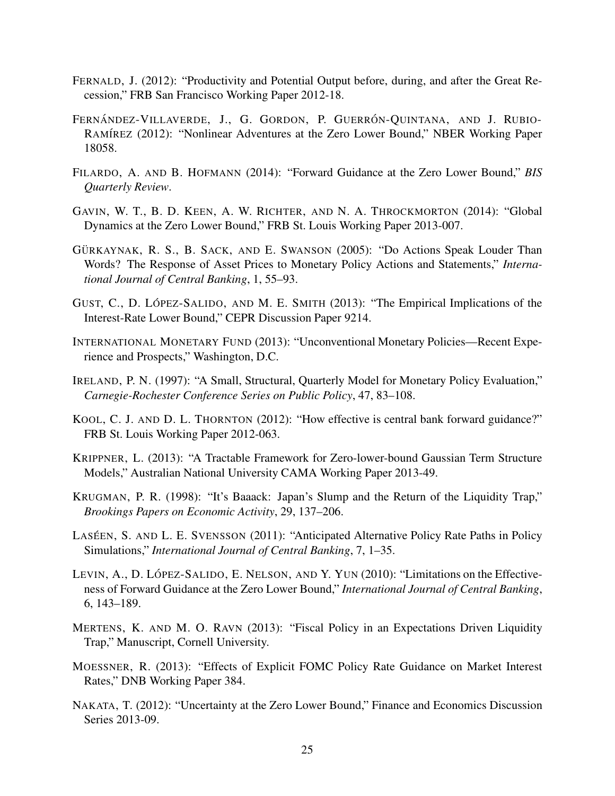- <span id="page-25-13"></span>FERNALD, J. (2012): "Productivity and Potential Output before, during, and after the Great Recession," FRB San Francisco Working Paper 2012-18.
- <span id="page-25-4"></span>FERNÁNDEZ-VILLAVERDE, J., G. GORDON, P. GUERRÓN-QUINTANA, AND J. RUBIO-RAMÍREZ (2012): "Nonlinear Adventures at the Zero Lower Bound," NBER Working Paper 18058.
- <span id="page-25-10"></span>FILARDO, A. AND B. HOFMANN (2014): "Forward Guidance at the Zero Lower Bound," *BIS Quarterly Review*.
- <span id="page-25-8"></span>GAVIN, W. T., B. D. KEEN, A. W. RICHTER, AND N. A. THROCKMORTON (2014): "Global Dynamics at the Zero Lower Bound," FRB St. Louis Working Paper 2013-007.
- <span id="page-25-15"></span>GÜRKAYNAK, R. S., B. SACK, AND E. SWANSON (2005): "Do Actions Speak Louder Than Words? The Response of Asset Prices to Monetary Policy Actions and Statements," *International Journal of Central Banking*, 1, 55–93.
- <span id="page-25-6"></span>GUST, C., D. LÓPEZ-SALIDO, AND M. E. SMITH (2013): "The Empirical Implications of the Interest-Rate Lower Bound," CEPR Discussion Paper 9214.
- <span id="page-25-1"></span>INTERNATIONAL MONETARY FUND (2013): "Unconventional Monetary Policies—Recent Experience and Prospects," Washington, D.C.
- <span id="page-25-12"></span>IRELAND, P. N. (1997): "A Small, Structural, Quarterly Model for Monetary Policy Evaluation," *Carnegie-Rochester Conference Series on Public Policy*, 47, 83–108.
- <span id="page-25-11"></span>KOOL, C. J. AND D. L. THORNTON (2012): "How effective is central bank forward guidance?" FRB St. Louis Working Paper 2012-063.
- <span id="page-25-14"></span>KRIPPNER, L. (2013): "A Tractable Framework for Zero-lower-bound Gaussian Term Structure Models," Australian National University CAMA Working Paper 2013-49.
- <span id="page-25-2"></span>KRUGMAN, P. R. (1998): "It's Baaack: Japan's Slump and the Return of the Liquidity Trap," *Brookings Papers on Economic Activity*, 29, 137–206.
- <span id="page-25-0"></span>LASÉEN, S. AND L. E. SVENSSON (2011): "Anticipated Alternative Policy Rate Paths in Policy Simulations," *International Journal of Central Banking*, 7, 1–35.
- <span id="page-25-3"></span>LEVIN, A., D. LÓPEZ-SALIDO, E. NELSON, AND Y. YUN (2010): "Limitations on the Effectiveness of Forward Guidance at the Zero Lower Bound," *International Journal of Central Banking*, 6, 143–189.
- <span id="page-25-7"></span>MERTENS, K. AND M. O. RAVN (2013): "Fiscal Policy in an Expectations Driven Liquidity Trap," Manuscript, Cornell University.
- <span id="page-25-9"></span>MOESSNER, R. (2013): "Effects of Explicit FOMC Policy Rate Guidance on Market Interest Rates," DNB Working Paper 384.
- <span id="page-25-5"></span>NAKATA, T. (2012): "Uncertainty at the Zero Lower Bound," Finance and Economics Discussion Series 2013-09.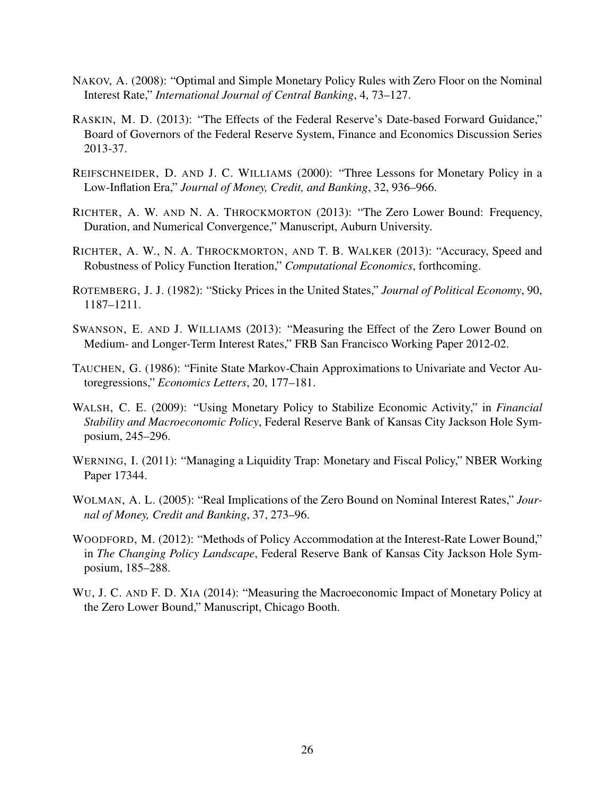- <span id="page-26-1"></span>NAKOV, A. (2008): "Optimal and Simple Monetary Policy Rules with Zero Floor on the Nominal Interest Rate," *International Journal of Central Banking*, 4, 73–127.
- <span id="page-26-6"></span>RASKIN, M. D. (2013): "The Effects of the Federal Reserve's Date-based Forward Guidance," Board of Governors of the Federal Reserve System, Finance and Economics Discussion Series 2013-37.
- <span id="page-26-0"></span>REIFSCHNEIDER, D. AND J. C. WILLIAMS (2000): "Three Lessons for Monetary Policy in a Low-Inflation Era," *Journal of Money, Credit, and Banking*, 32, 936–966.
- <span id="page-26-8"></span>RICHTER, A. W. AND N. A. THROCKMORTON (2013): "The Zero Lower Bound: Frequency, Duration, and Numerical Convergence," Manuscript, Auburn University.
- <span id="page-26-9"></span>RICHTER, A. W., N. A. THROCKMORTON, AND T. B. WALKER (2013): "Accuracy, Speed and Robustness of Policy Function Iteration," *Computational Economics*, forthcoming.
- <span id="page-26-7"></span>ROTEMBERG, J. J. (1982): "Sticky Prices in the United States," *Journal of Political Economy*, 90, 1187–1211.
- <span id="page-26-11"></span>SWANSON, E. AND J. WILLIAMS (2013): "Measuring the Effect of the Zero Lower Bound on Medium- and Longer-Term Interest Rates," FRB San Francisco Working Paper 2012-02.
- <span id="page-26-10"></span>TAUCHEN, G. (1986): "Finite State Markov-Chain Approximations to Univariate and Vector Autoregressions," *Economics Letters*, 20, 177–181.
- <span id="page-26-2"></span>WALSH, C. E. (2009): "Using Monetary Policy to Stabilize Economic Activity," in *Financial Stability and Macroeconomic Policy*, Federal Reserve Bank of Kansas City Jackson Hole Symposium, 245–296.
- <span id="page-26-3"></span>WERNING, I. (2011): "Managing a Liquidity Trap: Monetary and Fiscal Policy," NBER Working Paper 17344.
- <span id="page-26-5"></span>WOLMAN, A. L. (2005): "Real Implications of the Zero Bound on Nominal Interest Rates," *Journal of Money, Credit and Banking*, 37, 273–96.
- <span id="page-26-4"></span>WOODFORD, M. (2012): "Methods of Policy Accommodation at the Interest-Rate Lower Bound," in *The Changing Policy Landscape*, Federal Reserve Bank of Kansas City Jackson Hole Symposium, 185–288.
- <span id="page-26-12"></span>WU, J. C. AND F. D. XIA (2014): "Measuring the Macroeconomic Impact of Monetary Policy at the Zero Lower Bound," Manuscript, Chicago Booth.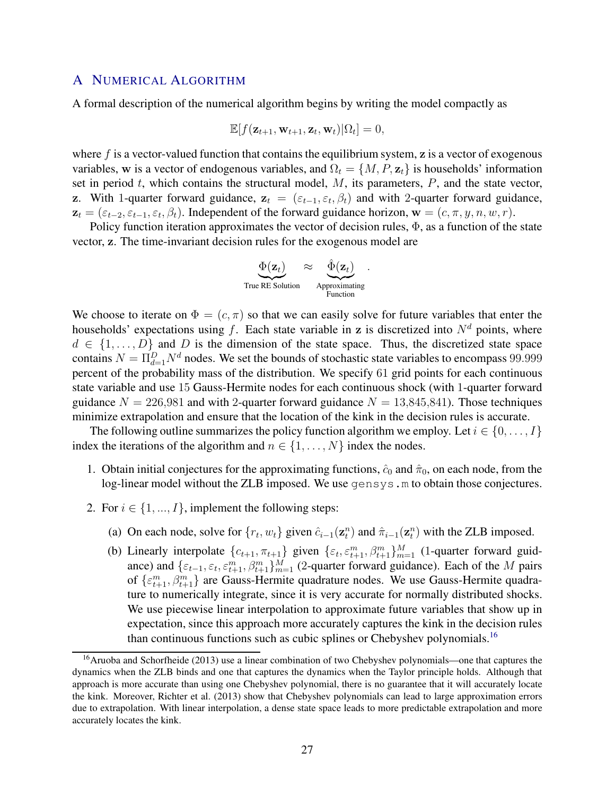### <span id="page-27-0"></span>A NUMERICAL ALGORITHM

A formal description of the numerical algorithm begins by writing the model compactly as

$$
\mathbb{E}[f(\mathbf{z}_{t+1}, \mathbf{w}_{t+1}, \mathbf{z}_t, \mathbf{w}_t)|\Omega_t] = 0,
$$

where  $f$  is a vector-valued function that contains the equilibrium system,  $\bf{z}$  is a vector of exogenous variables, w is a vector of endogenous variables, and  $\Omega_t = \{M, P, z_t\}$  is households' information set in period  $t$ , which contains the structural model,  $M$ , its parameters,  $P$ , and the state vector, z. With 1-quarter forward guidance,  $z_t = (\varepsilon_{t-1}, \varepsilon_t, \beta_t)$  and with 2-quarter forward guidance,  $z_t = (\varepsilon_{t-2}, \varepsilon_{t-1}, \varepsilon_t, \beta_t)$ . Independent of the forward guidance horizon,  $\mathbf{w} = (c, \pi, y, n, w, r)$ .

Policy function iteration approximates the vector of decision rules, Φ, as a function of the state vector, z. The time-invariant decision rules for the exogenous model are

$$
\underbrace{\Phi(\mathbf{z}_t)}_{\text{True RE Solution}} \approx \underbrace{\hat{\Phi}(\mathbf{z}_t)}_{\text{Approximating}}
$$

We choose to iterate on  $\Phi = (c, \pi)$  so that we can easily solve for future variables that enter the households' expectations using f. Each state variable in z is discretized into  $N<sup>d</sup>$  points, where  $d \in \{1, \ldots, D\}$  and D is the dimension of the state space. Thus, the discretized state space contains  $N = \prod_{d=1}^{D} N^d$  nodes. We set the bounds of stochastic state variables to encompass 99.999 percent of the probability mass of the distribution. We specify 61 grid points for each continuous state variable and use 15 Gauss-Hermite nodes for each continuous shock (with 1-quarter forward guidance  $N = 226,981$  and with 2-quarter forward guidance  $N = 13,845,841$ ). Those techniques minimize extrapolation and ensure that the location of the kink in the decision rules is accurate.

The following outline summarizes the policy function algorithm we employ. Let  $i \in \{0, \ldots, I\}$ index the iterations of the algorithm and  $n \in \{1, \ldots, N\}$  index the nodes.

- 1. Obtain initial conjectures for the approximating functions,  $\hat{c}_0$  and  $\hat{\pi}_0$ , on each node, from the log-linear model without the ZLB imposed. We use gensys.m to obtain those conjectures.
- <span id="page-27-2"></span>2. For  $i \in \{1, ..., I\}$ , implement the following steps:
	- (a) On each node, solve for  $\{r_t, w_t\}$  given  $\hat{c}_{i-1}(\mathbf{z}_t^n)$  and  $\hat{\pi}_{i-1}(\mathbf{z}_t^n)$  with the ZLB imposed.
	- (b) Linearly interpolate  $\{c_{t+1}, \pi_{t+1}\}\$  given  $\{\varepsilon_t, \varepsilon_{t+1}^m, \beta_{t+1}^m\}_{m=1}^M$  (1-quarter forward guidance) and  $\{\varepsilon_{t-1}, \varepsilon_t, \varepsilon_{t+1}^m, \beta_{t+1}^m\}_{m=1}^M$  (2-quarter forward guidance). Each of the M pairs of  $\{\varepsilon_{t+1}^m, \beta_{t+1}^m\}$  are Gauss-Hermite quadrature nodes. We use Gauss-Hermite quadrature to numerically integrate, since it is very accurate for normally distributed shocks. We use piecewise linear interpolation to approximate future variables that show up in expectation, since this approach more accurately captures the kink in the decision rules than continuous functions such as cubic splines or Chebyshev polynomials.<sup>[16](#page-27-1)</sup>

<span id="page-27-1"></span><sup>&</sup>lt;sup>16</sup>[Aruoba and Schorfheide \(2013](#page-24-6)) use a linear combination of two Chebyshev polynomials—one that captures the dynamics when the ZLB binds and one that captures the dynamics when the Taylor principle holds. Although that approach is more accurate than using one Chebyshev polynomial, there is no guarantee that it will accurately locate the kink. Moreover, [Richter et al. \(2013\)](#page-26-9) show that Chebyshev polynomials can lead to large approximation errors due to extrapolation. With linear interpolation, a dense state space leads to more predictable extrapolation and more accurately locates the kink.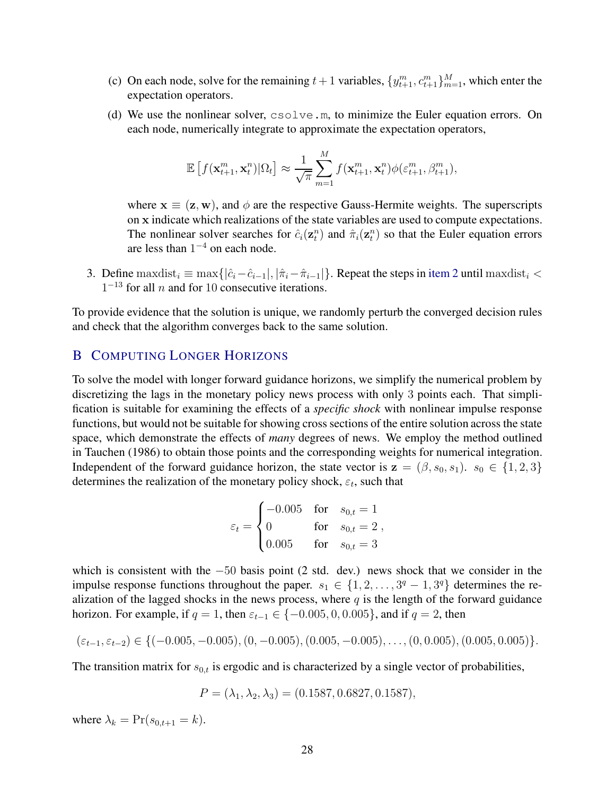- (c) On each node, solve for the remaining  $t + 1$  variables,  $\{y_{t+1}^m, c_{t+1}^m\}_{m=1}^M$ , which enter the expectation operators.
- (d) We use the nonlinear solver, csolve.m, to minimize the Euler equation errors. On each node, numerically integrate to approximate the expectation operators,

$$
\mathbb{E}\left[f(\mathbf{x}_{t+1}^m,\mathbf{x}_t^n)|\Omega_t\right] \approx \frac{1}{\sqrt{\pi}} \sum_{m=1}^M f(\mathbf{x}_{t+1}^m,\mathbf{x}_t^n) \phi(\varepsilon_{t+1}^m,\beta_{t+1}^m),
$$

where  $x \equiv (z, w)$ , and  $\phi$  are the respective Gauss-Hermite weights. The superscripts on x indicate which realizations of the state variables are used to compute expectations. The nonlinear solver searches for  $\hat{c}_i(\mathbf{z}_t^n)$  and  $\hat{\pi}_i(\mathbf{z}_t^n)$  so that the Euler equation errors are less than  $1^{-4}$  on each node.

3. Define maxdist<sub>i</sub>  $\equiv$  max $\{|\hat{c}_i-\hat{c}_{i-1}|, |\hat{\pi}_i-\hat{\pi}_{i-1}|\}$ . Repeat the steps in [item 2](#page-27-2) until maxdist<sub>i</sub> <  $1^{-13}$  for all *n* and for 10 consecutive iterations.

To provide evidence that the solution is unique, we randomly perturb the converged decision rules and check that the algorithm converges back to the same solution.

## <span id="page-28-0"></span>B COMPUTING LONGER HORIZONS

To solve the model with longer forward guidance horizons, we simplify the numerical problem by discretizing the lags in the monetary policy news process with only 3 points each. That simplification is suitable for examining the effects of a *specific shock* with nonlinear impulse response functions, but would not be suitable for showing cross sections of the entire solution across the state space, which demonstrate the effects of *many* degrees of news. We employ the method outlined in [Tauchen](#page-26-10) [\(1986\)](#page-26-10) to obtain those points and the corresponding weights for numerical integration. Independent of the forward guidance horizon, the state vector is  $z = (\beta, s_0, s_1)$ .  $s_0 \in \{1, 2, 3\}$ determines the realization of the monetary policy shock,  $\varepsilon_t$ , such that

$$
\varepsilon_t = \begin{cases}\n-0.005 & \text{for} \quad s_{0,t} = 1 \\
0 & \text{for} \quad s_{0,t} = 2 \\
0.005 & \text{for} \quad s_{0,t} = 3\n\end{cases}
$$

which is consistent with the −50 basis point (2 std. dev.) news shock that we consider in the impulse response functions throughout the paper.  $s_1 \in \{1, 2, ..., 3^q - 1, 3^q\}$  determines the realization of the lagged shocks in the news process, where  $q$  is the length of the forward guidance horizon. For example, if  $q = 1$ , then  $\varepsilon_{t-1} \in \{-0.005, 0, 0.005\}$ , and if  $q = 2$ , then

$$
(\varepsilon_{t-1}, \varepsilon_{t-2}) \in \{(-0.005, -0.005), (0, -0.005), (0.005, -0.005), \ldots, (0, 0.005), (0.005, 0.005)\}.
$$

The transition matrix for  $s_{0,t}$  is ergodic and is characterized by a single vector of probabilities,

$$
P = (\lambda_1, \lambda_2, \lambda_3) = (0.1587, 0.6827, 0.1587),
$$

where  $\lambda_k = \Pr(s_{0,t+1} = k)$ .